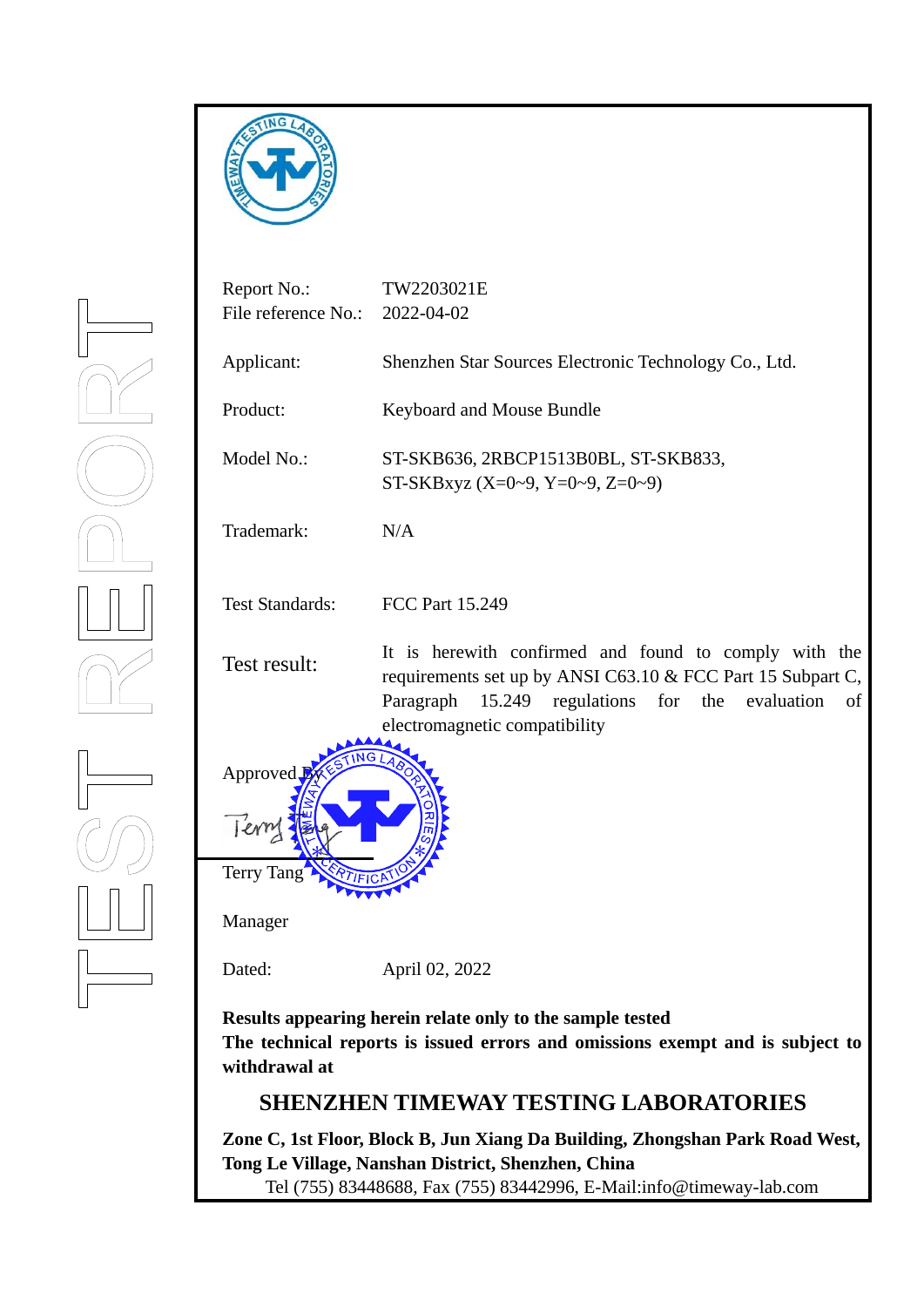



**The technical reports is issued errors and omissions exempt and is subject to withdrawal at**

# **SHENZHEN TIMEWAY TESTING LABORATORIES**

**Zone C, 1st Floor, Block B, Jun Xiang Da Building, Zhongshan Park Road West, Tong Le Village, Nanshan District, Shenzhen, China** 

Tel (755) 83448688, Fax (755) 83442996, E-Mail:info@timeway-lab.com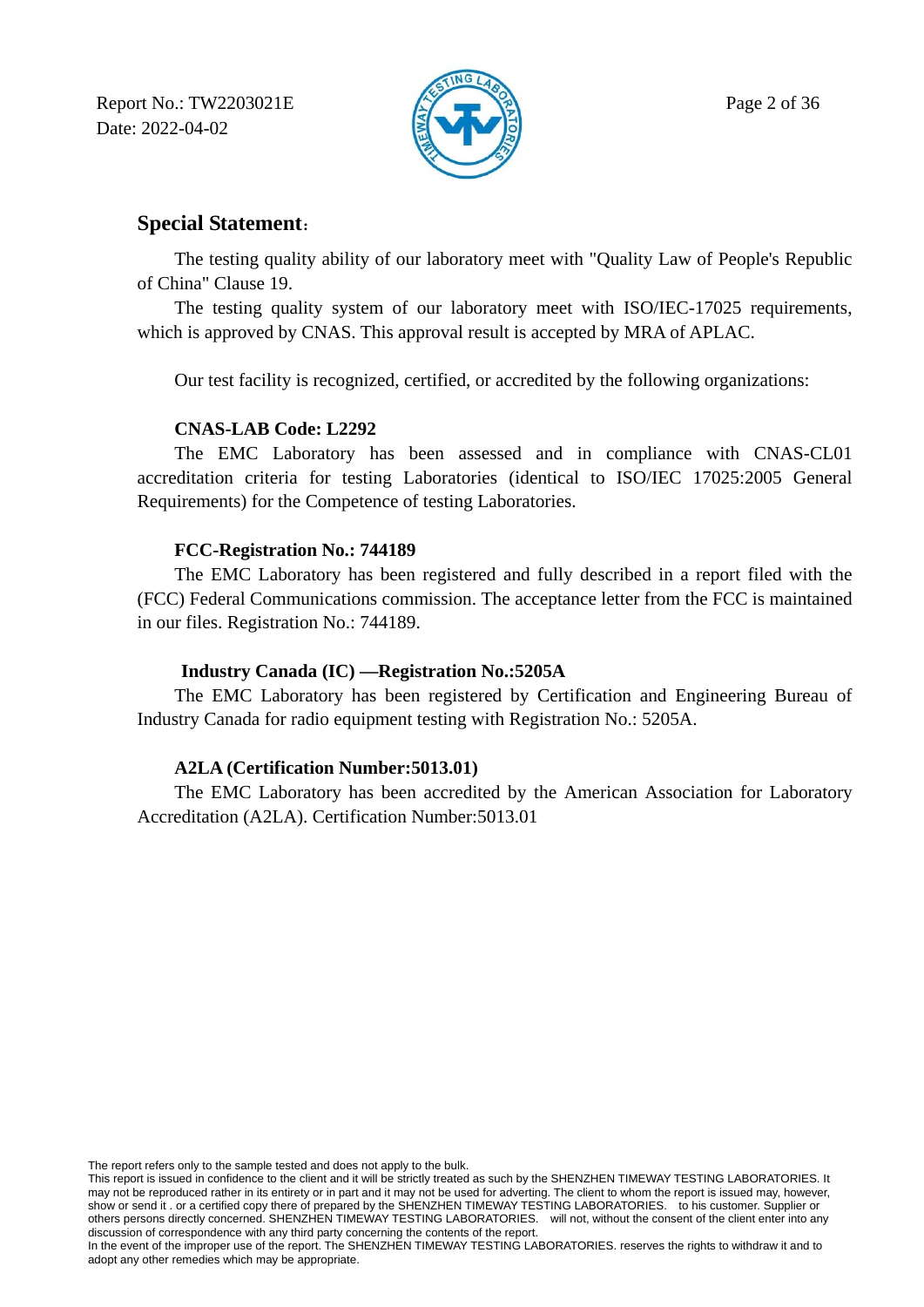Report No.: TW2203021E  $\mathbb{R}$  Page 2 of 36 Date: 2022-04-02



## **Special Statement**:

The testing quality ability of our laboratory meet with "Quality Law of People's Republic of China" Clause 19.

The testing quality system of our laboratory meet with ISO/IEC-17025 requirements, which is approved by CNAS. This approval result is accepted by MRA of APLAC.

Our test facility is recognized, certified, or accredited by the following organizations:

## **CNAS-LAB Code: L2292**

The EMC Laboratory has been assessed and in compliance with CNAS-CL01 accreditation criteria for testing Laboratories (identical to ISO/IEC 17025:2005 General Requirements) for the Competence of testing Laboratories.

## **FCC-Registration No.: 744189**

The EMC Laboratory has been registered and fully described in a report filed with the (FCC) Federal Communications commission. The acceptance letter from the FCC is maintained in our files. Registration No.: 744189.

## **Industry Canada (IC) —Registration No.:5205A**

The EMC Laboratory has been registered by Certification and Engineering Bureau of Industry Canada for radio equipment testing with Registration No.: 5205A.

## **A2LA (Certification Number:5013.01)**

The EMC Laboratory has been accredited by the American Association for Laboratory Accreditation (A2LA). Certification Number:5013.01

The report refers only to the sample tested and does not apply to the bulk.

This report is issued in confidence to the client and it will be strictly treated as such by the SHENZHEN TIMEWAY TESTING LABORATORIES. It may not be reproduced rather in its entirety or in part and it may not be used for adverting. The client to whom the report is issued may, however, show or send it . or a certified copy there of prepared by the SHENZHEN TIMEWAY TESTING LABORATORIES. to his customer. Supplier or others persons directly concerned. SHENZHEN TIMEWAY TESTING LABORATORIES. will not, without the consent of the client enter into any discussion of correspondence with any third party concerning the contents of the report.

In the event of the improper use of the report. The SHENZHEN TIMEWAY TESTING LABORATORIES. reserves the rights to withdraw it and to adopt any other remedies which may be appropriate.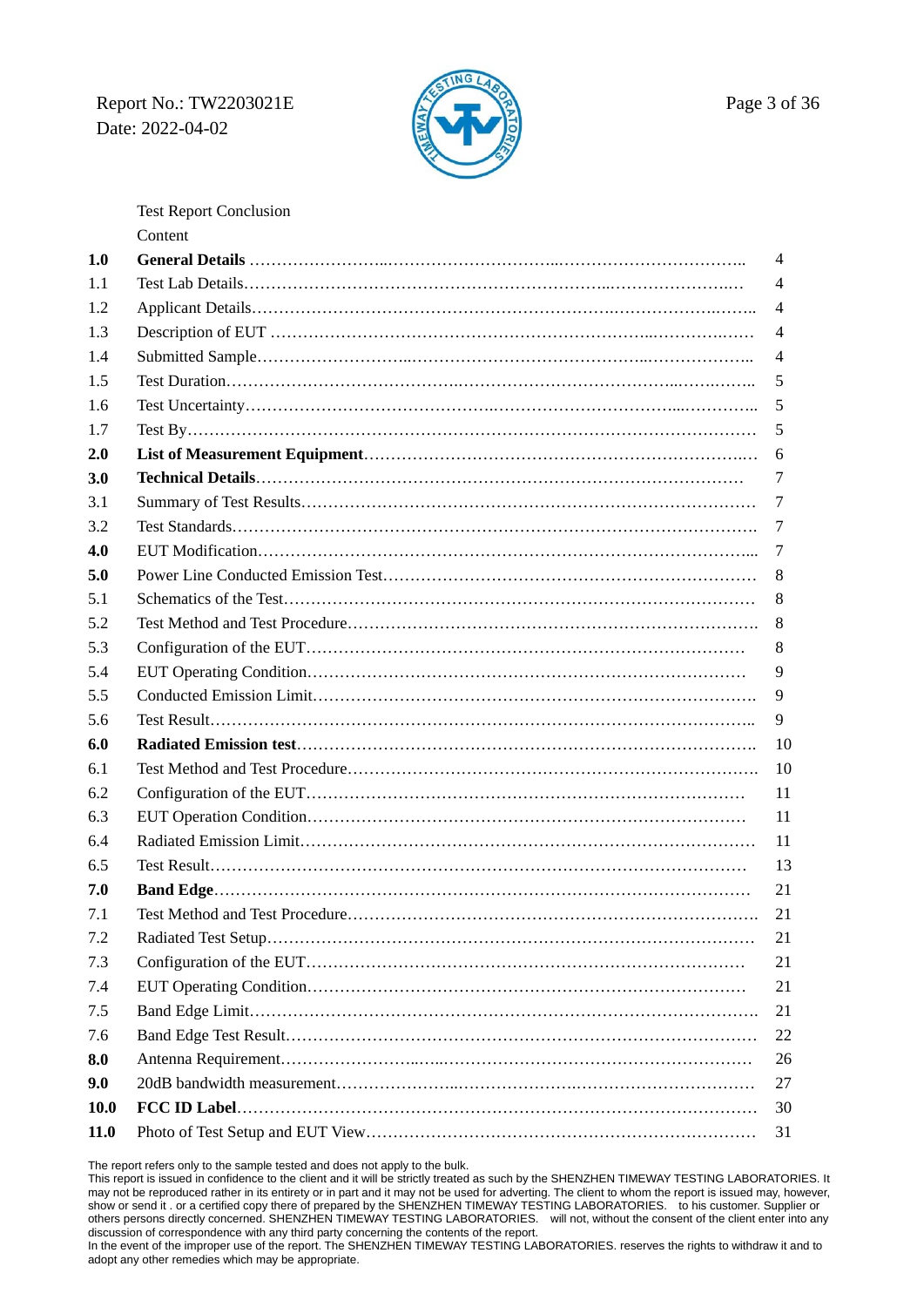## Report No.: TW2203021E  $\mathbb{Z}$  Page 3 of 36 Date: 2022-04-02



Test Report Conclusion Content

| 1.0         | 4              |
|-------------|----------------|
| 1.1         | 4              |
| 1.2         | 4              |
| 1.3         | 4              |
| 1.4         | $\overline{4}$ |
| 1.5         | 5              |
| 1.6         | 5              |
| 1.7         | 5              |
| 2.0         | 6              |
| 3.0         | 7              |
| 3.1         | 7              |
| 3.2         | 7              |
| 4.0         | 7              |
| 5.0         | 8              |
| 5.1         | 8              |
| 5.2         | 8              |
| 5.3         | 8              |
| 5.4         | 9              |
| 5.5         | 9              |
| 5.6         | 9              |
| 6.0         | 10             |
| 6.1         | 10             |
| 6.2         | 11             |
| 6.3         | 11             |
| 6.4         | 11             |
| 6.5         | 13             |
| 7.0         | 21             |
| 7.1         | 21             |
| 7.2         | 21             |
| 7.3         | 21             |
| 7.4         | 21             |
| 7.5         | 21             |
| 7.6         | 22             |
| 8.0         | 26             |
| 9.0         | 27             |
| <b>10.0</b> | 30             |
| 11.0        | 31             |

The report refers only to the sample tested and does not apply to the bulk.

This report is issued in confidence to the client and it will be strictly treated as such by the SHENZHEN TIMEWAY TESTING LABORATORIES. It may not be reproduced rather in its entirety or in part and it may not be used for adverting. The client to whom the report is issued may, however, show or send it . or a certified copy there of prepared by the SHENZHEN TIMEWAY TESTING LABORATORIES. to his customer. Supplier or others persons directly concerned. SHENZHEN TIMEWAY TESTING LABORATORIES. will not, without the consent of the client enter into any discussion of correspondence with any third party concerning the contents of the report.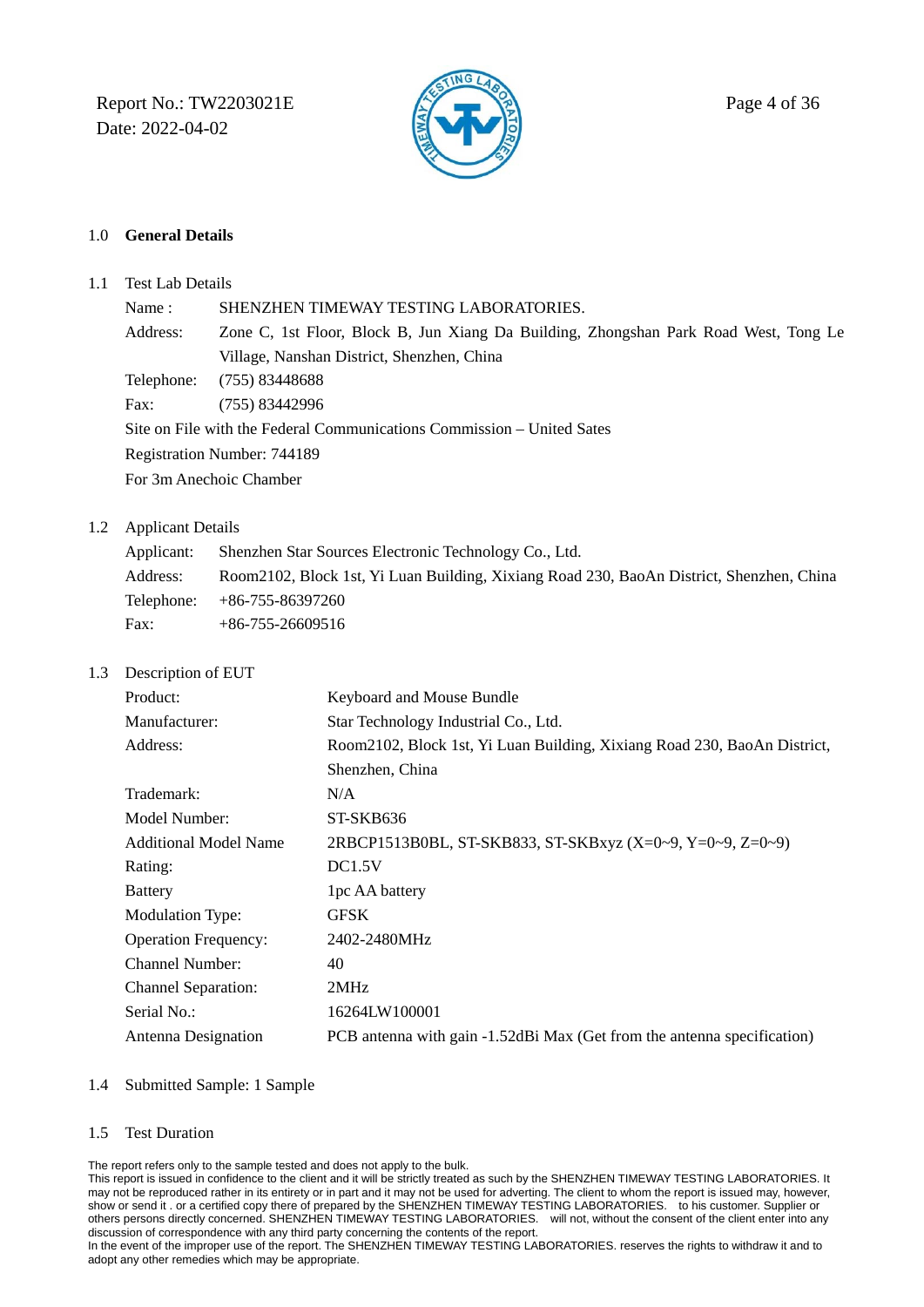Report No.: TW2203021E  $\mathbb{R}$  Page 4 of 36 Date: 2022-04-02



### 1.0 **General Details**

1.1 Test Lab Details

Name : SHENZHEN TIMEWAY TESTING LABORATORIES. Address: Zone C, 1st Floor, Block B, Jun Xiang Da Building, Zhongshan Park Road West, Tong Le Village, Nanshan District, Shenzhen, China Telephone: (755) 83448688 Fax: (755) 83442996 Site on File with the Federal Communications Commission – United Sates Registration Number: 744189

For 3m Anechoic Chamber

### 1.2 Applicant Details

| Applicant: | Shenzhen Star Sources Electronic Technology Co., Ltd.                                    |
|------------|------------------------------------------------------------------------------------------|
| Address:   | Room2102, Block 1st, Yi Luan Building, Xixiang Road 230, BaoAn District, Shenzhen, China |
|            | Telephone: $+86-755-86397260$                                                            |
| Fax:       | $+86-755-26609516$                                                                       |

1.3 Description of EUT

| Product:                     | Keyboard and Mouse Bundle                                                |
|------------------------------|--------------------------------------------------------------------------|
| Manufacturer:                | Star Technology Industrial Co., Ltd.                                     |
| Address:                     | Room2102, Block 1st, Yi Luan Building, Xixiang Road 230, BaoAn District, |
|                              | Shenzhen, China                                                          |
| Trademark:                   | N/A                                                                      |
| Model Number:                | ST-SKB636                                                                |
| <b>Additional Model Name</b> | 2RBCP1513B0BL, ST-SKB833, ST-SKBxyz (X=0~9, Y=0~9, Z=0~9)                |
| Rating:                      | DC1.5V                                                                   |
| <b>Battery</b>               | 1pc AA battery                                                           |
| <b>Modulation Type:</b>      | <b>GFSK</b>                                                              |
| <b>Operation Frequency:</b>  | 2402-2480MHz                                                             |
| Channel Number:              | 40                                                                       |
| <b>Channel Separation:</b>   | 2MHz                                                                     |
| Serial No.:                  | 16264LW100001                                                            |
| Antenna Designation          | PCB antenna with gain -1.52dBi Max (Get from the antenna specification)  |
|                              |                                                                          |

#### 1.4 Submitted Sample: 1 Sample

#### 1.5 Test Duration

The report refers only to the sample tested and does not apply to the bulk.

This report is issued in confidence to the client and it will be strictly treated as such by the SHENZHEN TIMEWAY TESTING LABORATORIES. It may not be reproduced rather in its entirety or in part and it may not be used for adverting. The client to whom the report is issued may, however, show or send it . or a certified copy there of prepared by the SHENZHEN TIMEWAY TESTING LABORATORIES. to his customer. Supplier or others persons directly concerned. SHENZHEN TIMEWAY TESTING LABORATORIES. will not, without the consent of the client enter into any discussion of correspondence with any third party concerning the contents of the report.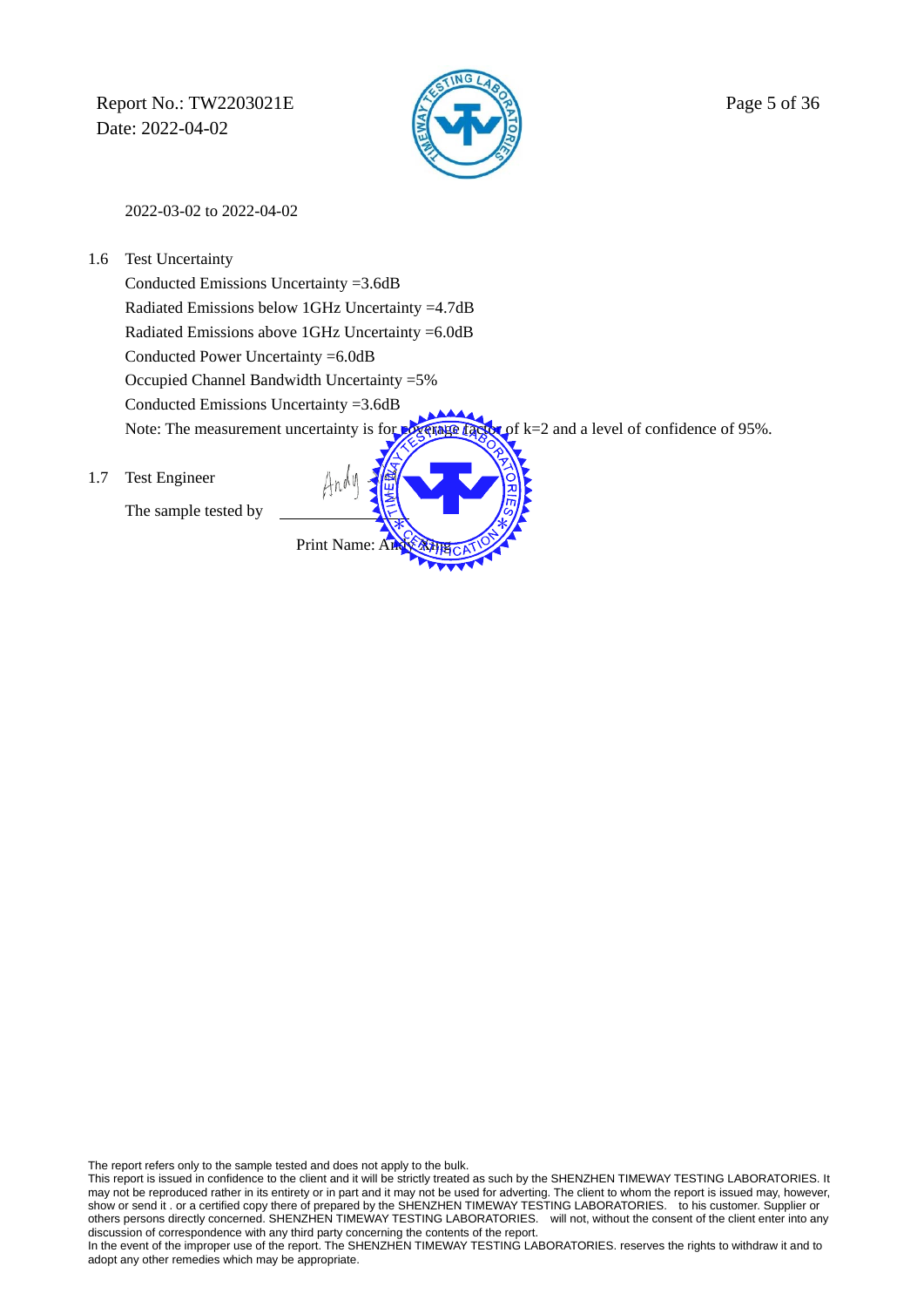Report No.: TW2203021E  $\sqrt{2}$  Page 5 of 36 Date: 2022-04-02



2022-03-02 to 2022-04-02

1.6 Test Uncertainty

 Conducted Emissions Uncertainty =3.6dB Radiated Emissions below 1GHz Uncertainty =4.7dB Radiated Emissions above 1GHz Uncertainty =6.0dB Conducted Power Uncertainty =6.0dB Occupied Channel Bandwidth Uncertainty =5% Conducted Emissions Uncertainty =3.6dB Note: The measurement uncertainty is for **poverage factor** of k=2 and a level of confidence of 95%.

Print Name:

1.7 Test Engineer

The sample tested by

The report refers only to the sample tested and does not apply to the bulk.

This report is issued in confidence to the client and it will be strictly treated as such by the SHENZHEN TIMEWAY TESTING LABORATORIES. It may not be reproduced rather in its entirety or in part and it may not be used for adverting. The client to whom the report is issued may, however, show or send it . or a certified copy there of prepared by the SHENZHEN TIMEWAY TESTING LABORATORIES. to his customer. Supplier or others persons directly concerned. SHENZHEN TIMEWAY TESTING LABORATORIES. will not, without others persons directly concerned. SHENZHEN TIMEWAY TESTING LABORATORIES. discussion of correspondence with any third party concerning the contents of the report.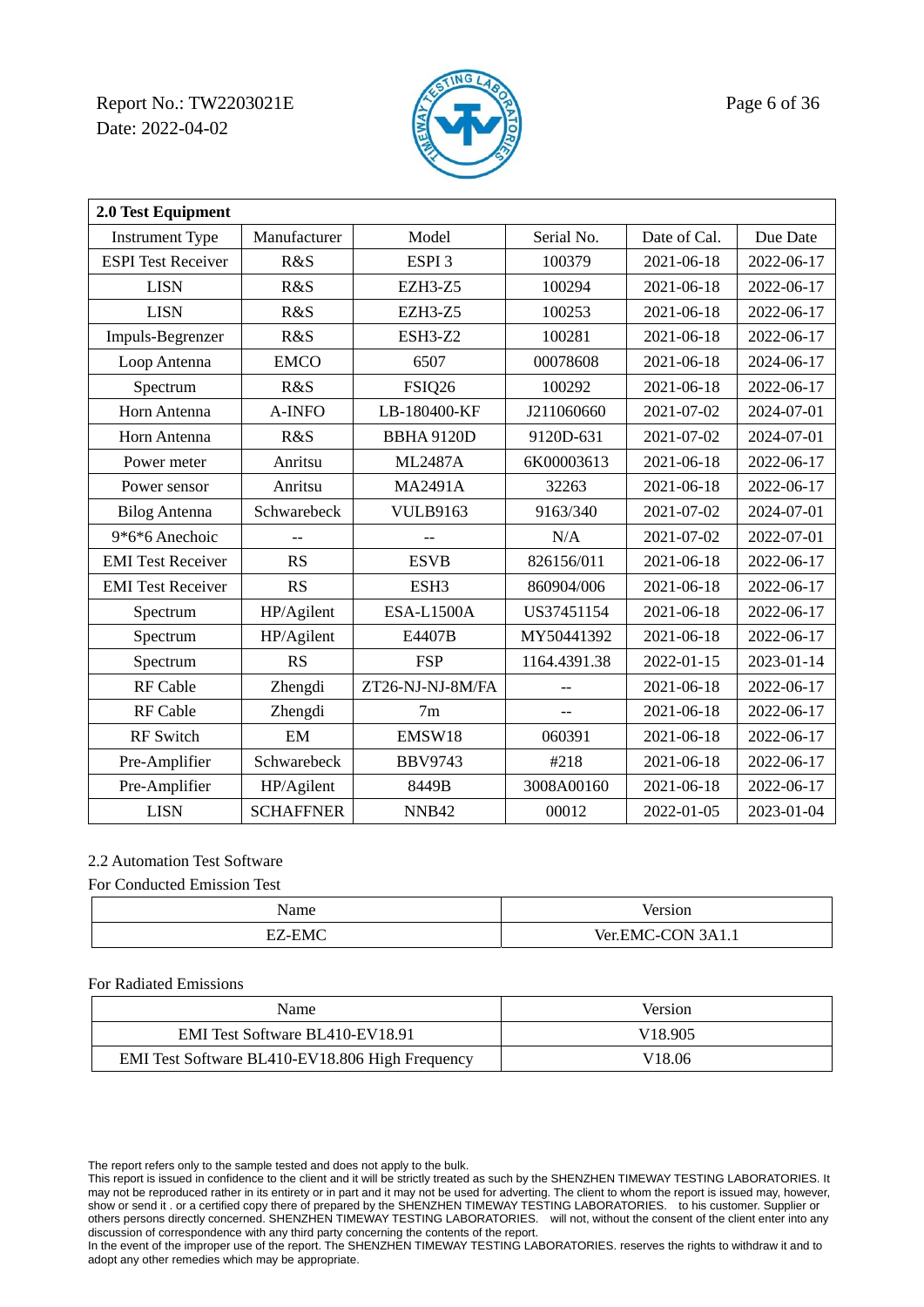Report No.: TW2203021E Page 6 of 36 Date: 2022-04-02



| 2.0 Test Equipment        |                  |                   |                |              |            |  |
|---------------------------|------------------|-------------------|----------------|--------------|------------|--|
| <b>Instrument Type</b>    | Manufacturer     | Model             | Serial No.     | Date of Cal. | Due Date   |  |
| <b>ESPI</b> Test Receiver | R&S              | ESPI <sub>3</sub> | 100379         | 2021-06-18   | 2022-06-17 |  |
| <b>LISN</b>               | R&S              | <b>EZH3-Z5</b>    | 100294         | 2021-06-18   | 2022-06-17 |  |
| <b>LISN</b>               | R&S              | <b>EZH3-Z5</b>    | 100253         | 2021-06-18   | 2022-06-17 |  |
| Impuls-Begrenzer          | R&S              | <b>ESH3-Z2</b>    | 100281         | 2021-06-18   | 2022-06-17 |  |
| Loop Antenna              | <b>EMCO</b>      | 6507              | 00078608       | 2021-06-18   | 2024-06-17 |  |
| Spectrum                  | R&S              | FSIQ26            | 100292         | 2021-06-18   | 2022-06-17 |  |
| Horn Antenna              | A-INFO           | LB-180400-KF      | J211060660     | 2021-07-02   | 2024-07-01 |  |
| Horn Antenna              | R&S              | <b>BBHA 9120D</b> | 9120D-631      | 2021-07-02   | 2024-07-01 |  |
| Power meter               | Anritsu          | <b>ML2487A</b>    | 6K00003613     | 2021-06-18   | 2022-06-17 |  |
| Power sensor              | Anritsu          | <b>MA2491A</b>    | 32263          | 2021-06-18   | 2022-06-17 |  |
| <b>Bilog Antenna</b>      | Schwarebeck      | <b>VULB9163</b>   | 9163/340       | 2021-07-02   | 2024-07-01 |  |
| 9*6*6 Anechoic            |                  | $-$               | N/A            | 2021-07-02   | 2022-07-01 |  |
| <b>EMI</b> Test Receiver  | RS               | <b>ESVB</b>       | 826156/011     | 2021-06-18   | 2022-06-17 |  |
| <b>EMI</b> Test Receiver  | <b>RS</b>        | ESH <sub>3</sub>  | 860904/006     | 2021-06-18   | 2022-06-17 |  |
| Spectrum                  | HP/Agilent       | <b>ESA-L1500A</b> | US37451154     | 2021-06-18   | 2022-06-17 |  |
| Spectrum                  | HP/Agilent       | E4407B            | MY50441392     | 2021-06-18   | 2022-06-17 |  |
| Spectrum                  | <b>RS</b>        | <b>FSP</b>        | 1164.4391.38   | 2022-01-15   | 2023-01-14 |  |
| <b>RF</b> Cable           | Zhengdi          | ZT26-NJ-NJ-8M/FA  |                | 2021-06-18   | 2022-06-17 |  |
| RF Cable                  | Zhengdi          | 7m                | $\overline{a}$ | 2021-06-18   | 2022-06-17 |  |
| <b>RF</b> Switch          | EM               | EMSW18            | 060391         | 2021-06-18   | 2022-06-17 |  |
| Pre-Amplifier             | Schwarebeck      | <b>BBV9743</b>    | #218           | 2021-06-18   | 2022-06-17 |  |
| Pre-Amplifier             | HP/Agilent       | 8449B             | 3008A00160     | 2021-06-18   | 2022-06-17 |  |
| <b>LISN</b>               | <b>SCHAFFNER</b> | NNB42             | 00012          | 2022-01-05   | 2023-01-04 |  |

### 2.2 Automation Test Software

#### For Conducted Emission Test

| $\sim$<br>Name                               | лor                             |
|----------------------------------------------|---------------------------------|
| $\sim$<br>$F^r$<br>--<br>N/I<br>-<br>_______ | Ver<br><b>-</b><br>711.1<br>___ |

#### For Radiated Emissions

| <b>Name</b>                                     | Version             |
|-------------------------------------------------|---------------------|
| EMI Test Software BL410-EV18.91                 | V <sub>18.905</sub> |
| EMI Test Software BL410-EV18.806 High Frequency | V <sub>18.06</sub>  |

The report refers only to the sample tested and does not apply to the bulk.

This report is issued in confidence to the client and it will be strictly treated as such by the SHENZHEN TIMEWAY TESTING LABORATORIES. It may not be reproduced rather in its entirety or in part and it may not be used for adverting. The client to whom the report is issued may, however, show or send it . or a certified copy there of prepared by the SHENZHEN TIMEWAY TESTING LABORATORIES. to his customer. Supplier or others persons directly concerned. SHENZHEN TIMEWAY TESTING LABORATORIES. will not, without the consent of the client enter into any discussion of correspondence with any third party concerning the contents of the report.

In the event of the improper use of the report. The SHENZHEN TIMEWAY TESTING LABORATORIES. reserves the rights to withdraw it and to adopt any other remedies which may be appropriate.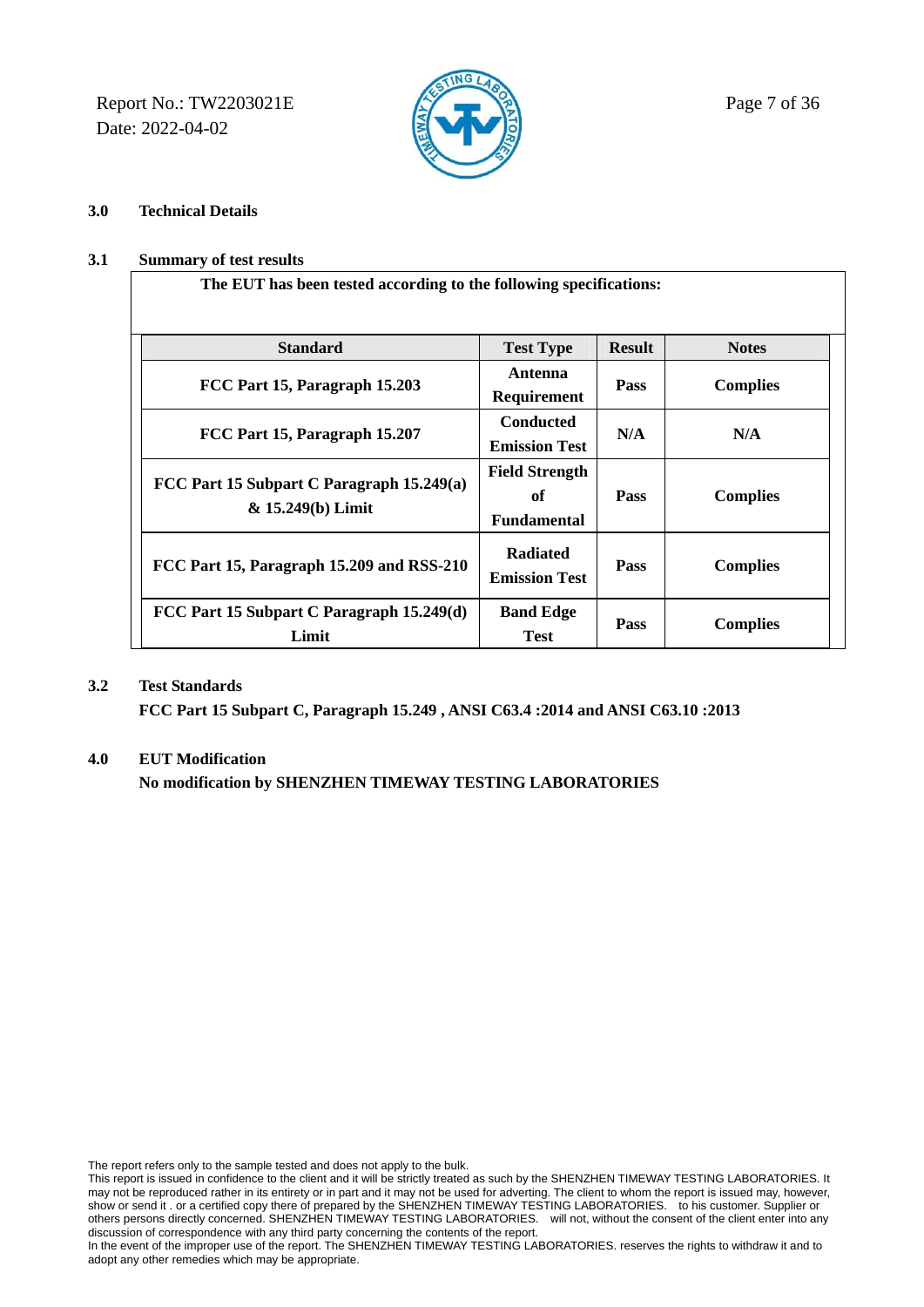Report No.: TW2203021E  $\sqrt{2}$  Page 7 of 36 Date: 2022-04-02



**The EUT has been tested according to the following specifications:** 

### **3.0 Technical Details**

### **3.1 Summary of test results**

| ne ne I has seen tested according to the role wing specifications. |                                                   |               |                 |
|--------------------------------------------------------------------|---------------------------------------------------|---------------|-----------------|
| <b>Standard</b>                                                    | <b>Test Type</b>                                  | <b>Result</b> | <b>Notes</b>    |
| FCC Part 15, Paragraph 15.203                                      | Antenna<br>Requirement                            | Pass          | <b>Complies</b> |
| FCC Part 15, Paragraph 15.207                                      | <b>Conducted</b><br><b>Emission Test</b>          | N/A           | N/A             |
| FCC Part 15 Subpart C Paragraph 15.249(a)<br>& 15.249(b) Limit     | <b>Field Strength</b><br>of<br><b>Fundamental</b> | Pass          | <b>Complies</b> |
| FCC Part 15, Paragraph 15.209 and RSS-210                          | <b>Radiated</b><br><b>Emission Test</b>           | Pass          | <b>Complies</b> |
| FCC Part 15 Subpart C Paragraph 15.249(d)<br>Limit                 | <b>Band Edge</b><br><b>Test</b>                   | Pass          | <b>Complies</b> |

#### **3.2 Test Standards**

 **FCC Part 15 Subpart C, Paragraph 15.249 , ANSI C63.4 :2014 and ANSI C63.10 :2013** 

#### **4.0 EUT Modification**

 **No modification by SHENZHEN TIMEWAY TESTING LABORATORIES** 

The report refers only to the sample tested and does not apply to the bulk.

This report is issued in confidence to the client and it will be strictly treated as such by the SHENZHEN TIMEWAY TESTING LABORATORIES. It may not be reproduced rather in its entirety or in part and it may not be used for adverting. The client to whom the report is issued may, however, show or send it . or a certified copy there of prepared by the SHENZHEN TIMEWAY TESTING LABORATORIES. to his customer. Supplier or others persons directly concerned. SHENZHEN TIMEWAY TESTING LABORATORIES. will not, without the consent of the client enter into any discussion of correspondence with any third party concerning the contents of the report.

In the event of the improper use of the report. The SHENZHEN TIMEWAY TESTING LABORATORIES. reserves the rights to withdraw it and to adopt any other remedies which may be appropriate.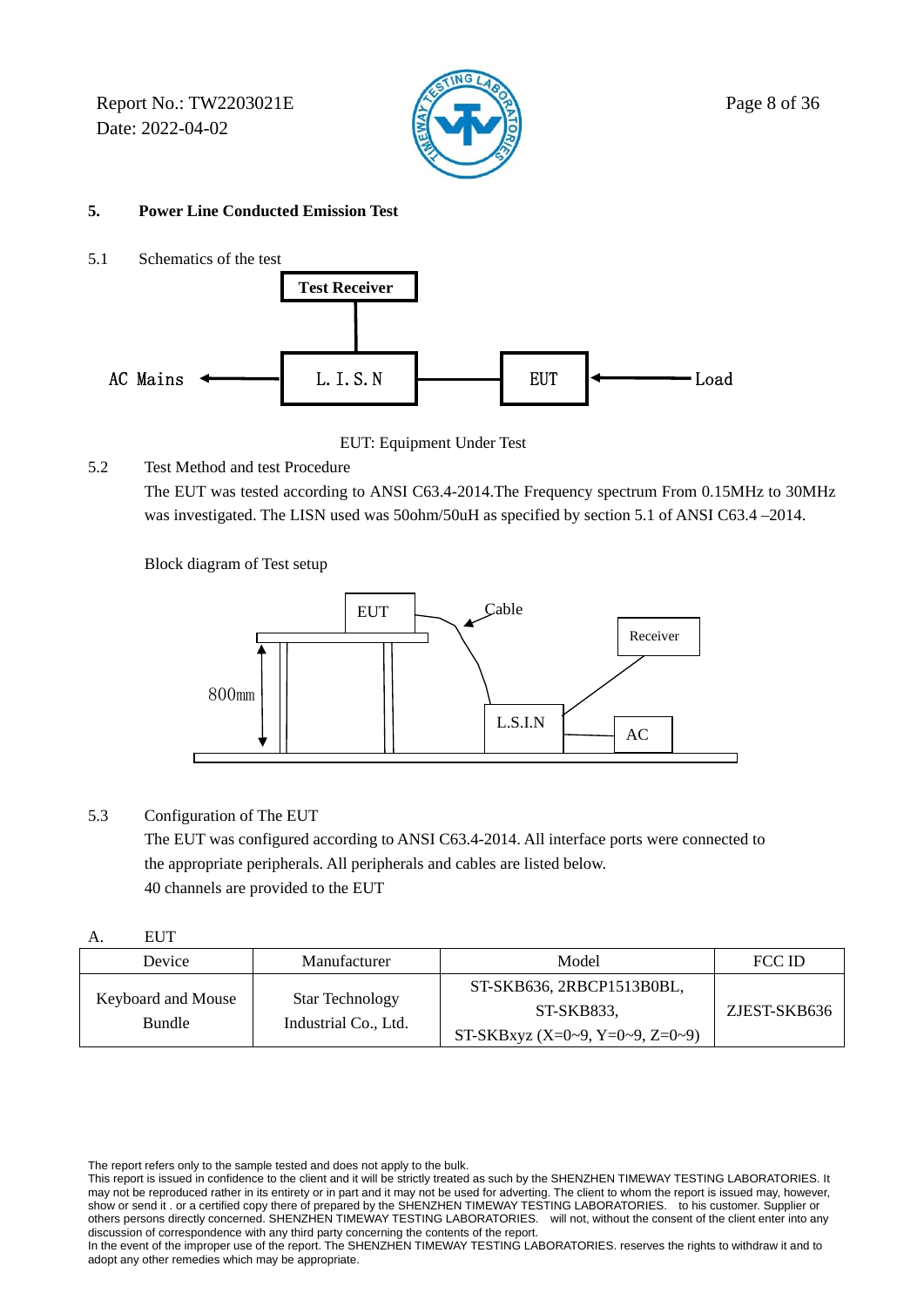Report No.: TW2203021E  $\mathbb{R}$  Page 8 of 36 Date: 2022-04-02



### **5. Power Line Conducted Emission Test**

5.1 Schematics of the test



EUT: Equipment Under Test

5.2 Test Method and test Procedure

 The EUT was tested according to ANSI C63.4-2014.The Frequency spectrum From 0.15MHz to 30MHz was investigated. The LISN used was 50ohm/50uH as specified by section 5.1 of ANSI C63.4 –2014.

Block diagram of Test setup



### 5.3 Configuration of The EUT

 The EUT was configured according to ANSI C63.4-2014. All interface ports were connected to the appropriate peripherals. All peripherals and cables are listed below. 40 channels are provided to the EUT

| ٦<br>J<br>٠ |
|-------------|
| ×<br>v      |

| Device | Manufacturer                                                                          | Model                           | FCC ID       |
|--------|---------------------------------------------------------------------------------------|---------------------------------|--------------|
|        | Keyboard and Mouse<br><b>Star Technology</b><br>Industrial Co., Ltd.<br><b>Bundle</b> | ST-SKB636, 2RBCP1513B0BL,       |              |
|        |                                                                                       | ST-SKB833.                      | ZJEST-SKB636 |
|        |                                                                                       | ST-SKBxyz (X=0~9, Y=0~9, Z=0~9) |              |

The report refers only to the sample tested and does not apply to the bulk.

This report is issued in confidence to the client and it will be strictly treated as such by the SHENZHEN TIMEWAY TESTING LABORATORIES. It may not be reproduced rather in its entirety or in part and it may not be used for adverting. The client to whom the report is issued may, however, show or send it . or a certified copy there of prepared by the SHENZHEN TIMEWAY TESTING LABORATORIES. to his customer. Supplier or others persons directly concerned. SHENZHEN TIMEWAY TESTING LABORATORIES. will not, without the consent of the client enter into any discussion of correspondence with any third party concerning the contents of the report.

In the event of the improper use of the report. The SHENZHEN TIMEWAY TESTING LABORATORIES. reserves the rights to withdraw it and to adopt any other remedies which may be appropriate.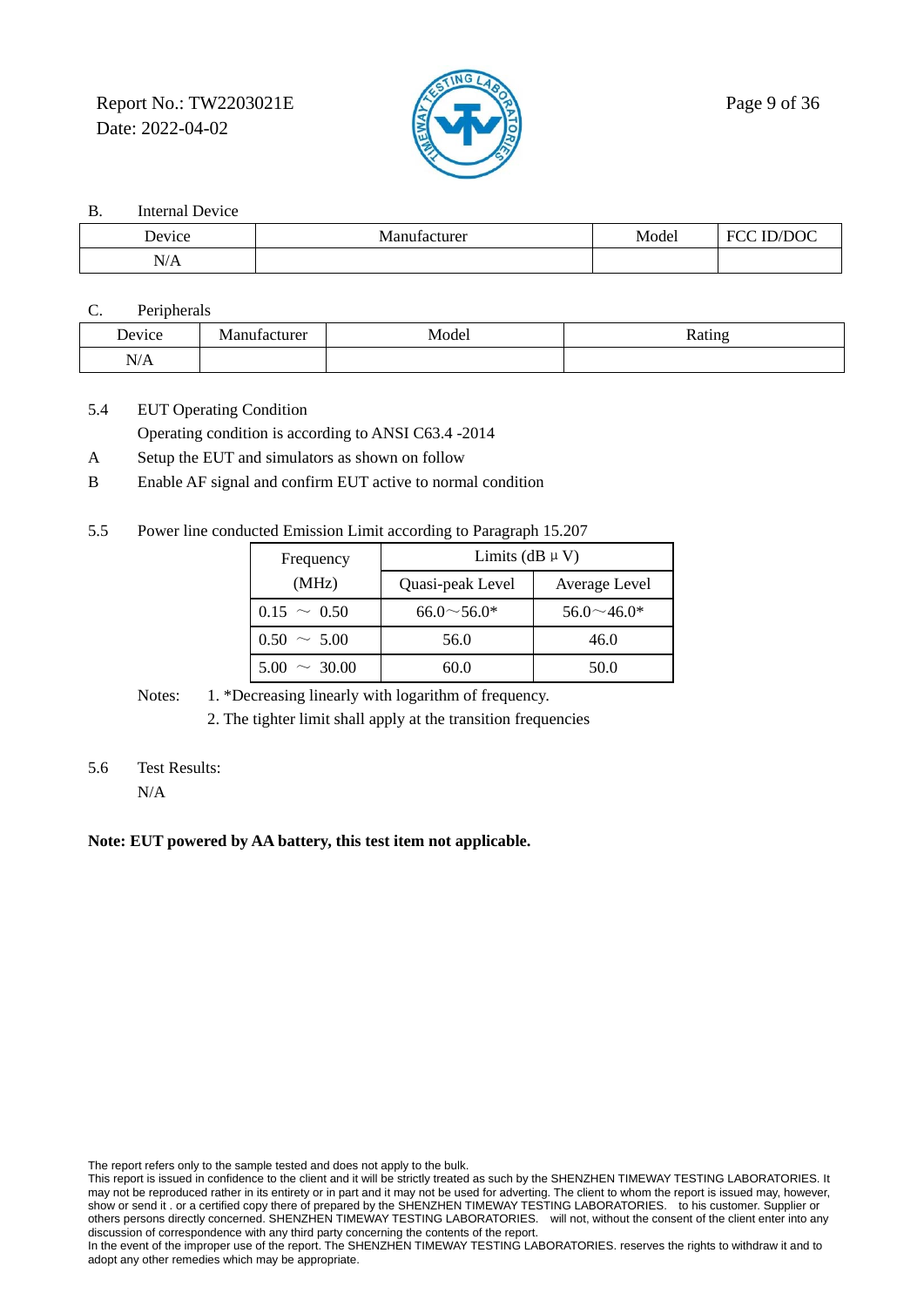Report No.: TW2203021E  $\sqrt{2}$  Page 9 of 36 Date: 2022-04-02



B. Internal Device

| $ -$                   |              |       |             |
|------------------------|--------------|-------|-------------|
| $\mathbf{r}$<br>Device | Manufacturer | Model | ECC<br>/DOC |
| N/A                    |              |       |             |

C. Peripherals

| Device | cturer<br>$\sim$ | Model | 1500 |
|--------|------------------|-------|------|
| N/A    |                  |       |      |

5.4 EUT Operating Condition Operating condition is according to ANSI C63.4 -2014

- A Setup the EUT and simulators as shown on follow
- B Enable AF signal and confirm EUT active to normal condition
- 5.5 Power line conducted Emission Limit according to Paragraph 15.207

| Frequency         | Limits (dB $\mu$ V) |                   |  |  |
|-------------------|---------------------|-------------------|--|--|
| (MHz)             | Quasi-peak Level    | Average Level     |  |  |
| $0.15 \sim 0.50$  | $66.0 \sim 56.0*$   | $56.0 \sim 46.0*$ |  |  |
| $0.50 \sim 5.00$  | 56.0                | 46.0              |  |  |
| $5.00 \sim 30.00$ | 60.0                | 50.0              |  |  |

Notes: 1. \*Decreasing linearly with logarithm of frequency.

2. The tighter limit shall apply at the transition frequencies

5.6 Test Results:

N/A

### **Note: EUT powered by AA battery, this test item not applicable.**

The report refers only to the sample tested and does not apply to the bulk.

This report is issued in confidence to the client and it will be strictly treated as such by the SHENZHEN TIMEWAY TESTING LABORATORIES. It may not be reproduced rather in its entirety or in part and it may not be used for adverting. The client to whom the report is issued may, however, show or send it . or a certified copy there of prepared by the SHENZHEN TIMEWAY TESTING LABORATORIES. to his customer. Supplier or others persons directly concerned. SHENZHEN TIMEWAY TESTING LABORATORIES. will not, without the consent of the client enter into any discussion of correspondence with any third party concerning the contents of the report.

In the event of the improper use of the report. The SHENZHEN TIMEWAY TESTING LABORATORIES. reserves the rights to withdraw it and to adopt any other remedies which may be appropriate.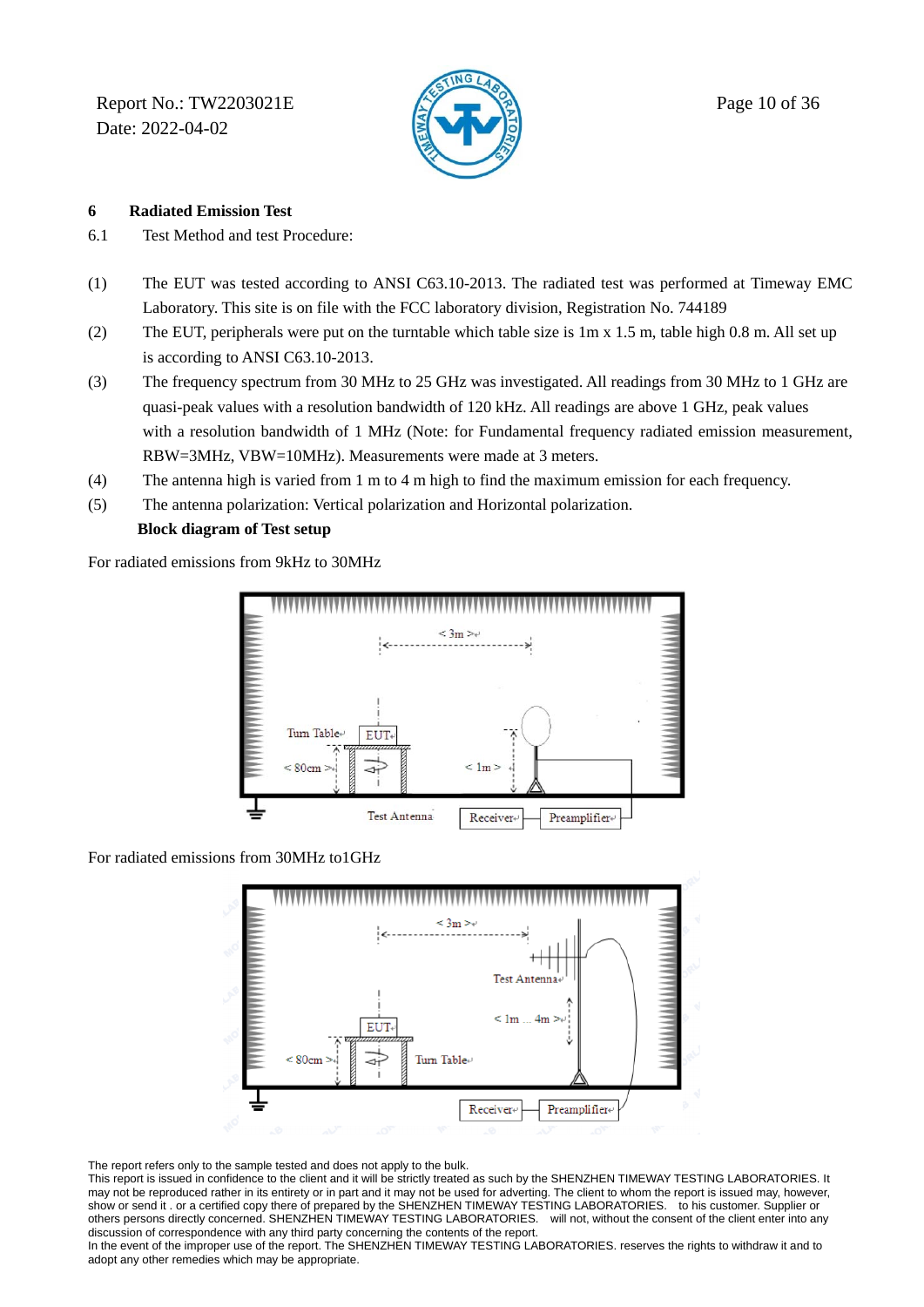Report No.: TW2203021E  $\sqrt{2}$  Page 10 of 36 Date: 2022-04-02



### **6 Radiated Emission Test**

- 6.1 Test Method and test Procedure:
- (1) The EUT was tested according to ANSI C63.10-2013. The radiated test was performed at Timeway EMC Laboratory. This site is on file with the FCC laboratory division, Registration No. 744189
- (2) The EUT, peripherals were put on the turntable which table size is  $1m \times 1.5 m$ , table high 0.8 m. All set up is according to ANSI C63.10-2013.
- (3) The frequency spectrum from 30 MHz to 25 GHz was investigated. All readings from 30 MHz to 1 GHz are quasi-peak values with a resolution bandwidth of 120 kHz. All readings are above 1 GHz, peak values with a resolution bandwidth of 1 MHz (Note: for Fundamental frequency radiated emission measurement, RBW=3MHz, VBW=10MHz). Measurements were made at 3 meters.
- (4) The antenna high is varied from 1 m to 4 m high to find the maximum emission for each frequency.
- (5) The antenna polarization: Vertical polarization and Horizontal polarization.

### **Block diagram of Test setup**

For radiated emissions from 9kHz to 30MHz



For radiated emissions from 30MHz to1GHz



The report refers only to the sample tested and does not apply to the bulk.

This report is issued in confidence to the client and it will be strictly treated as such by the SHENZHEN TIMEWAY TESTING LABORATORIES. It may not be reproduced rather in its entirety or in part and it may not be used for adverting. The client to whom the report is issued may, however, show or send it . or a certified copy there of prepared by the SHENZHEN TIMEWAY TESTING LABORATORIES. to his customer. Supplier or others persons directly concerned. SHENZHEN TIMEWAY TESTING LABORATORIES. will not, without the consent of the client enter into any discussion of correspondence with any third party concerning the contents of the report.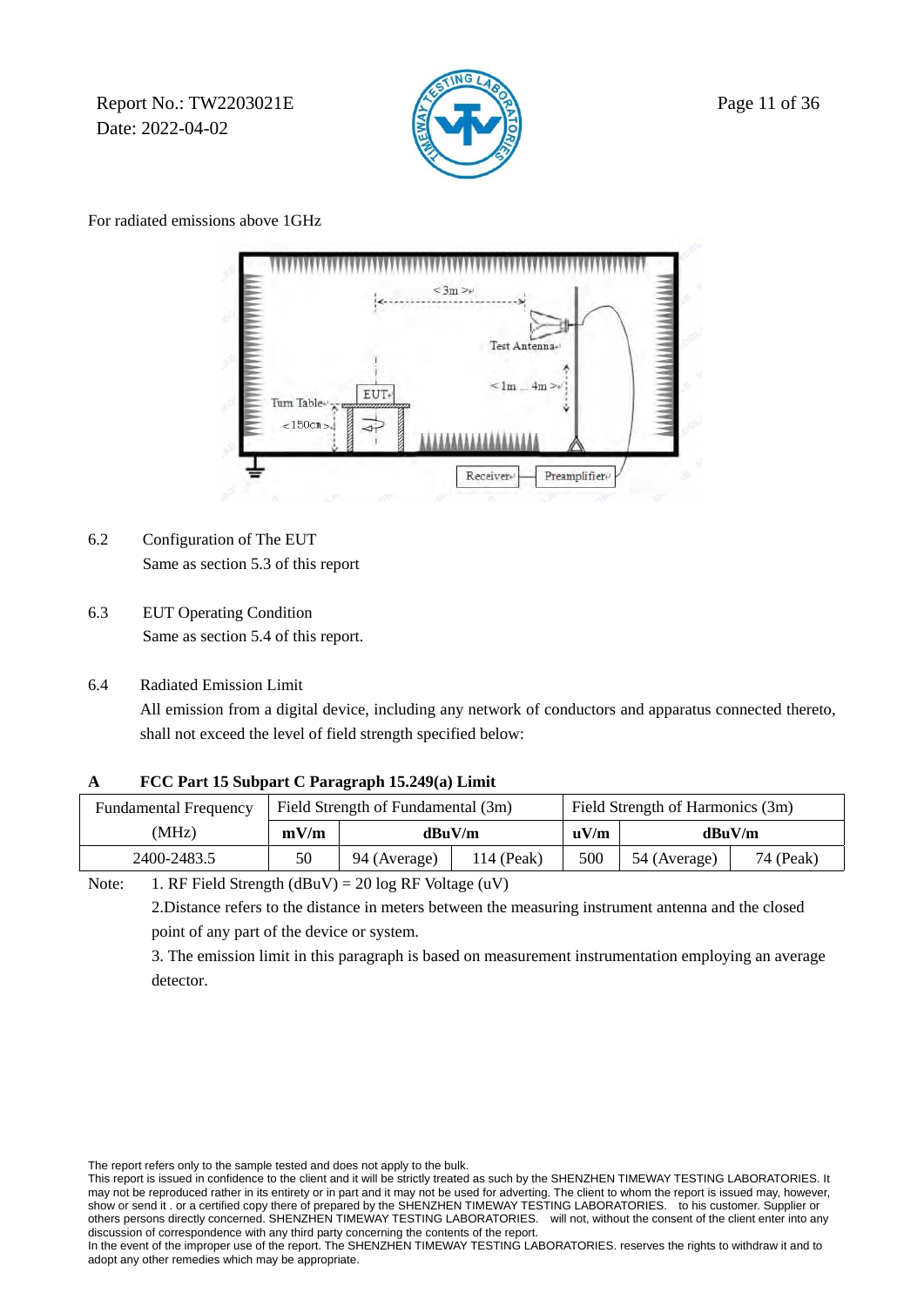Report No.: TW2203021E  $\mathbb{R}$  Page 11 of 36 Date: 2022-04-02



For radiated emissions above 1GHz



- 6.2 Configuration of The EUT Same as section 5.3 of this report
- 6.3 EUT Operating Condition Same as section 5.4 of this report.
- 6.4 Radiated Emission Limit

 All emission from a digital device, including any network of conductors and apparatus connected thereto, shall not exceed the level of field strength specified below:

### **A FCC Part 15 Subpart C Paragraph 15.249(a) Limit**

| <b>Fundamental Frequency</b> |      | Field Strength of Fundamental (3m) |  |                  | Field Strength of Harmonics (3m) |           |
|------------------------------|------|------------------------------------|--|------------------|----------------------------------|-----------|
| (MHz)                        | mV/m | dBuV/m                             |  | $\mathbf{u}$ V/m | dBuV/m                           |           |
| 2400-2483.5                  | 50   | 114 (Peak)<br>94 (Average)         |  |                  | 54 (Average)                     | 74 (Peak) |

Note: 1. RF Field Strength  $(dBuV) = 20 log RF Voltage (uV)$ 

 2.Distance refers to the distance in meters between the measuring instrument antenna and the closed point of any part of the device or system.

 3. The emission limit in this paragraph is based on measurement instrumentation employing an average detector.

The report refers only to the sample tested and does not apply to the bulk.

This report is issued in confidence to the client and it will be strictly treated as such by the SHENZHEN TIMEWAY TESTING LABORATORIES. It may not be reproduced rather in its entirety or in part and it may not be used for adverting. The client to whom the report is issued may, however, show or send it . or a certified copy there of prepared by the SHENZHEN TIMEWAY TESTING LABORATORIES. to his customer. Supplier or others persons directly concerned. SHENZHEN TIMEWAY TESTING LABORATORIES. will not, without others persons directly concerned. SHENZHEN TIMEWAY TESTING LABORATORIES. discussion of correspondence with any third party concerning the contents of the report.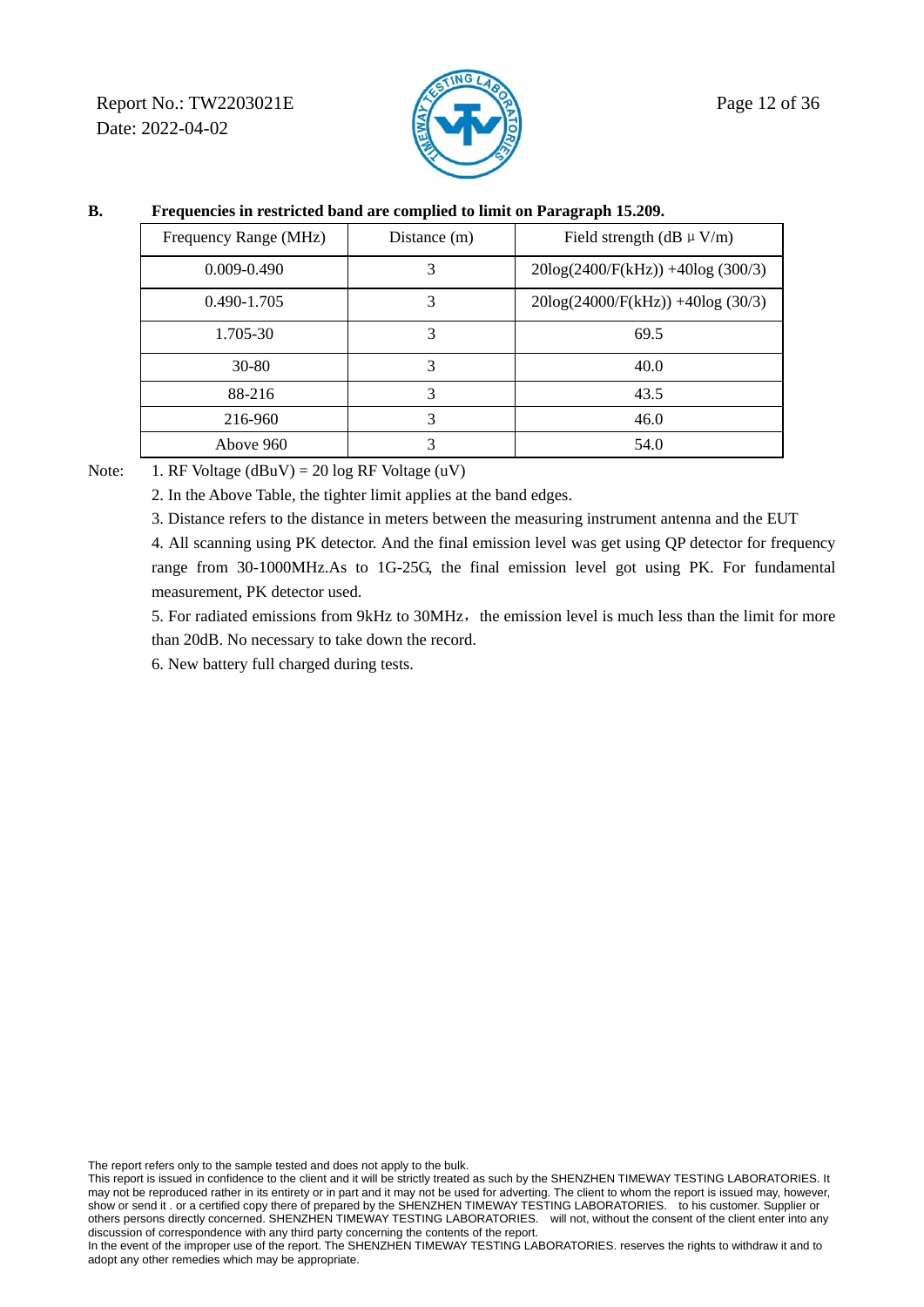Report No.: TW2203021E  $\mathbb{R}$  Page 12 of 36 Date: 2022-04-02



### **B. Frequencies in restricted band are complied to limit on Paragraph 15.209.**

| Frequency Range (MHz) | Distance (m) | Field strength (dB $\mu$ V/m)         |
|-----------------------|--------------|---------------------------------------|
| 0.009-0.490           | 3            | $20\log(2400/F(kHz)) + 40\log(300/3)$ |
| 0.490-1.705           | 3            | $20\log(24000/F(kHz)) + 40\log(30/3)$ |
| 1.705-30              | 3            | 69.5                                  |
| $30 - 80$             | 3            | 40.0                                  |
| 88-216                | 3            | 43.5                                  |
| 216-960               | 3            | 46.0                                  |
| Above 960             | 3            | 54.0                                  |

Note: 1. RF Voltage (dBuV) = 20 log RF Voltage (uV)

2. In the Above Table, the tighter limit applies at the band edges.

3. Distance refers to the distance in meters between the measuring instrument antenna and the EUT

 4. All scanning using PK detector. And the final emission level was get using QP detector for frequency range from 30-1000MHz.As to 1G-25G, the final emission level got using PK. For fundamental measurement, PK detector used.

5. For radiated emissions from 9kHz to 30MHz, the emission level is much less than the limit for more than 20dB. No necessary to take down the record.

6. New battery full charged during tests.

The report refers only to the sample tested and does not apply to the bulk.

This report is issued in confidence to the client and it will be strictly treated as such by the SHENZHEN TIMEWAY TESTING LABORATORIES. It may not be reproduced rather in its entirety or in part and it may not be used for adverting. The client to whom the report is issued may, however, show or send it . or a certified copy there of prepared by the SHENZHEN TIMEWAY TESTING LABORATORIES. to his customer. Supplier or others persons directly concerned. SHENZHEN TIMEWAY TESTING LABORATORIES. will not, without the consent of the client enter into any discussion of correspondence with any third party concerning the contents of the report.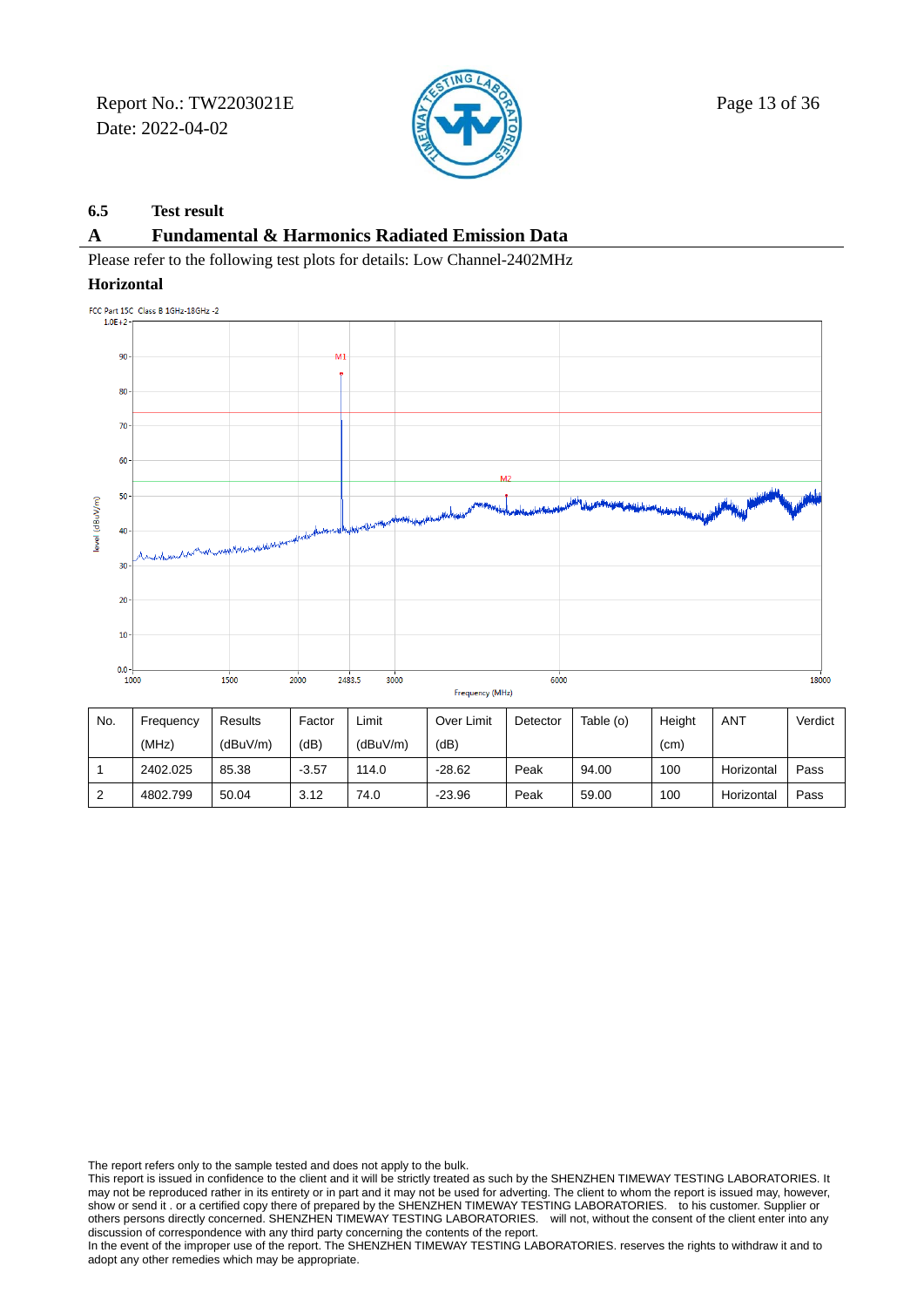Report No.: TW2203021E  $\mathbb{Z}$  Page 13 of 36 Date: 2022-04-02



### **6.5 Test result**

### **A Fundamental & Harmonics Radiated Emission Data**

Please refer to the following test plots for details: Low Channel-2402MHz

#### **Horizontal**



| No. | Frequency | Results  | Factor  | ∟imit    | Over Limit | Detector | Table (o) | Height            | ANT        | Verdict |
|-----|-----------|----------|---------|----------|------------|----------|-----------|-------------------|------------|---------|
|     | (MHz)     | (dBuV/m) | (dB)    | (dBuV/m) | (dB)       |          |           | (c <sub>m</sub> ) |            |         |
|     | 2402.025  | 85.38    | $-3.57$ | 114.0    | $-28.62$   | Peak     | 94.00     | 100               | Horizontal | Pass    |
|     | 4802.799  | 50.04    | 3.12    | 74.0     | $-23.96$   | Peak     | 59.00     | 100               | Horizontal | Pass    |

The report refers only to the sample tested and does not apply to the bulk.

This report is issued in confidence to the client and it will be strictly treated as such by the SHENZHEN TIMEWAY TESTING LABORATORIES. It may not be reproduced rather in its entirety or in part and it may not be used for adverting. The client to whom the report is issued may, however, show or send it . or a certified copy there of prepared by the SHENZHEN TIMEWAY TESTING LABORATORIES. to his customer. Supplier or others persons directly concerned. SHENZHEN TIMEWAY TESTING LABORATORIES. will not, without the consent of the client enter into any discussion of correspondence with any third party concerning the contents of the report.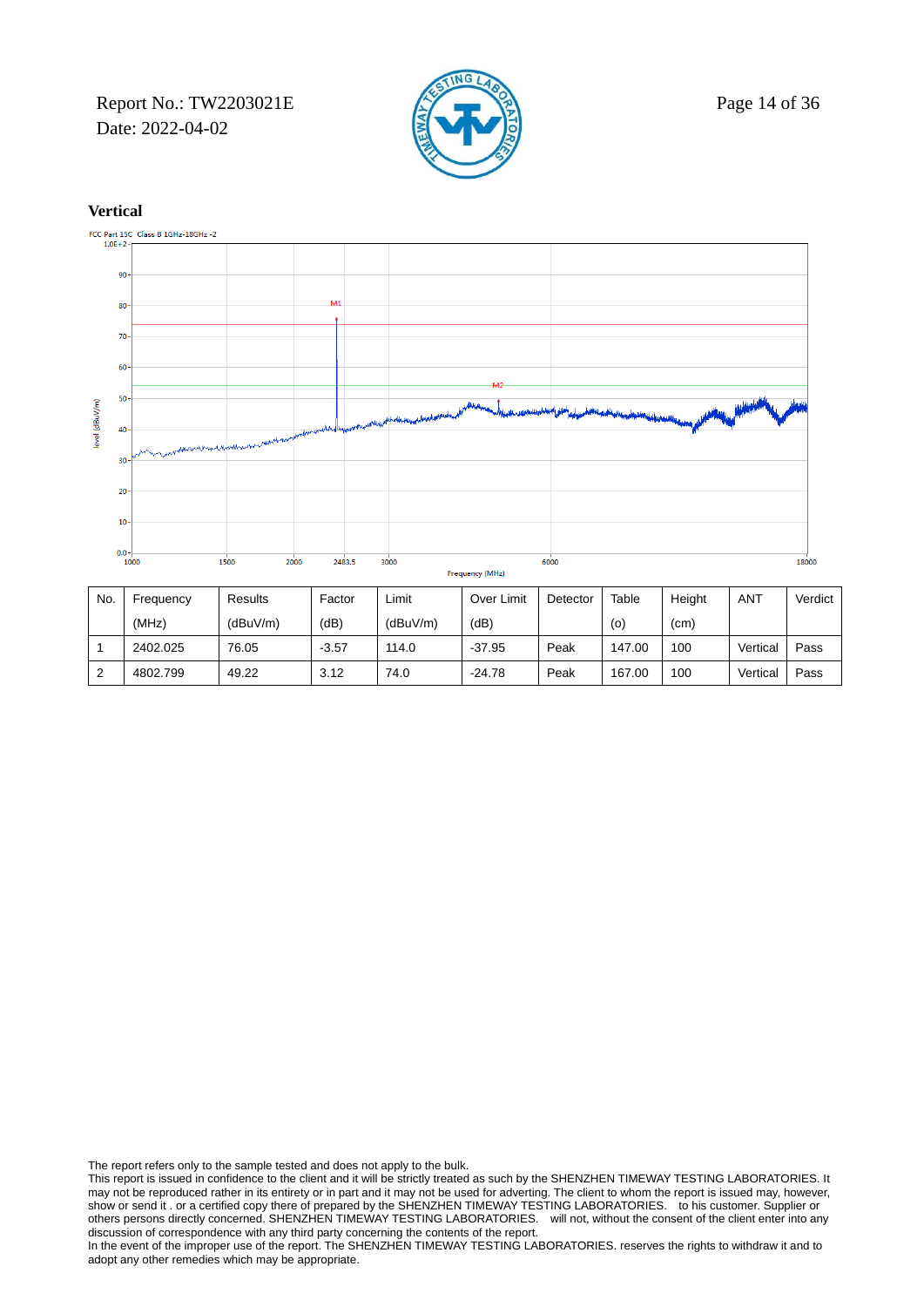Report No.: TW2203021E  $\mathbb{Z}$  Page 14 of 36 Date: 2022-04-02





| No. | Frequency | Results  | Factor  | Limit    | Over Limit | Detector | Table  | Height | ANT      | Verdict |
|-----|-----------|----------|---------|----------|------------|----------|--------|--------|----------|---------|
|     | (MHz)     | (dBuV/m) | (dB)    | (dBuV/m) | (dB)       |          | (o)    | (cm)   |          |         |
|     | 2402.025  | 76.05    | $-3.57$ | 114.0    | $-37.95$   | Peak     | 147.00 | 100    | Vertical | Pass    |
|     | 4802.799  | 49.22    | 3.12    | 74.0     | $-24.78$   | Peak     | 167.00 | 100    | Vertical | Pass    |

The report refers only to the sample tested and does not apply to the bulk.

This report is issued in confidence to the client and it will be strictly treated as such by the SHENZHEN TIMEWAY TESTING LABORATORIES. It may not be reproduced rather in its entirety or in part and it may not be used for adverting. The client to whom the report is issued may, however, show or send it . or a certified copy there of prepared by the SHENZHEN TIMEWAY TESTING LABORATORIES. to his customer. Supplier or others persons directly concerned. SHENZHEN TIMEWAY TESTING LABORATORIES. will not, without the consent of the client enter into any discussion of correspondence with any third party concerning the contents of the report.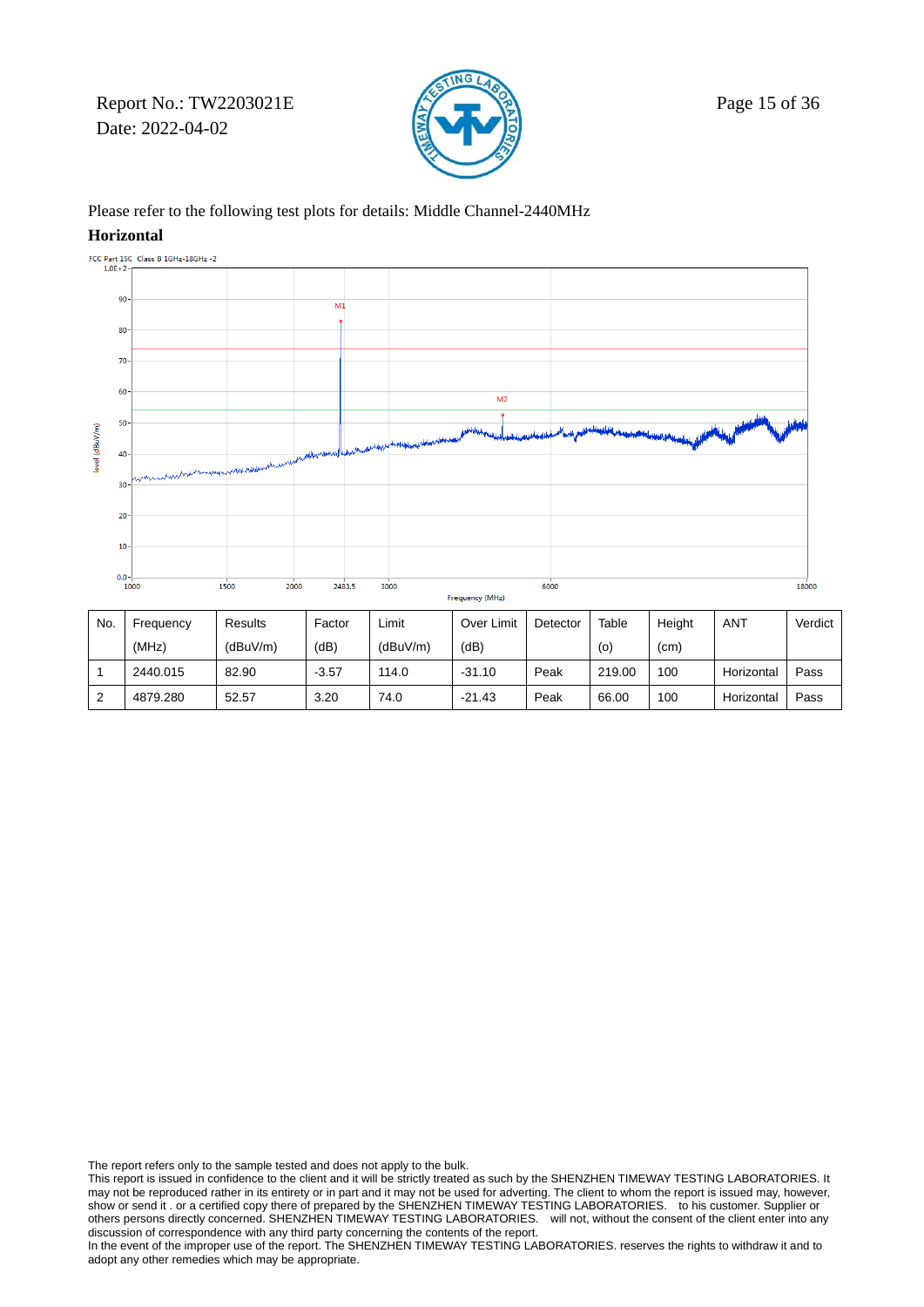Report No.: TW2203021E  $\sqrt{2}$  Page 15 of 36 Date: 2022-04-02



### Please refer to the following test plots for details: Middle Channel-2440MHz

#### **Horizontal**



| No.    | Frequency | Results  | Factor  | Limit    | Over Limit | Detector | Table  | Height | ANT        | Verdict |
|--------|-----------|----------|---------|----------|------------|----------|--------|--------|------------|---------|
|        | (MHz)     | (dBuV/m) | (dB)    | (dBuV/m) | (dB)       |          | (0)    | (cm)   |            |         |
|        | 2440.015  | 82.90    | $-3.57$ | 114.0    | $-31.10$   | Peak     | 219.00 | 100    | Horizontal | Pass    |
| $\sim$ | 4879.280  | 52.57    | 3.20    | 74.0     | $-21.43$   | Peak     | 66.00  | 100    | Horizontal | Pass    |

The report refers only to the sample tested and does not apply to the bulk.

This report is issued in confidence to the client and it will be strictly treated as such by the SHENZHEN TIMEWAY TESTING LABORATORIES. It may not be reproduced rather in its entirety or in part and it may not be used for adverting. The client to whom the report is issued may, however, show or send it . or a certified copy there of prepared by the SHENZHEN TIMEWAY TESTING LABORATORIES. to his customer. Supplier or others persons directly concerned. SHENZHEN TIMEWAY TESTING LABORATORIES. will not, without the consent of the client enter into any discussion of correspondence with any third party concerning the contents of the report.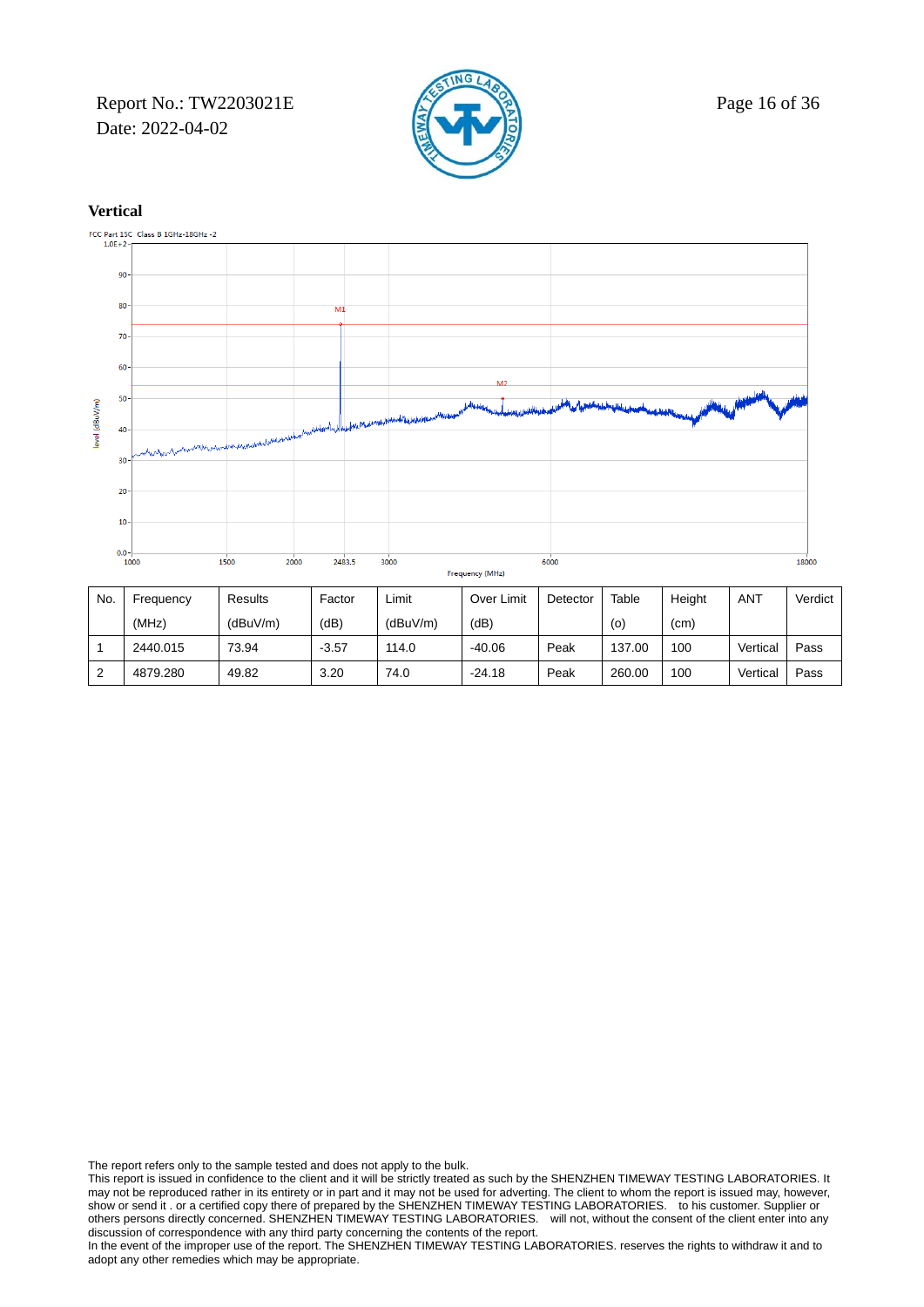Report No.: TW2203021E  $\mathbb{Z}$  Page 16 of 36 Date: 2022-04-02





| No. | Freauencv | Results  | Factor  | Limit    | Over Limit | Detector | Table  | Height | ANT      | Verdict |
|-----|-----------|----------|---------|----------|------------|----------|--------|--------|----------|---------|
|     | (MHz)     | (dBuV/m) | (dB)    | (dBuV/m) | (dB)       |          | (o)    | (cm)   |          |         |
|     | 2440.015  | 73.94    | $-3.57$ | 114.0    | $-40.06$   | Peak     | 137.00 | 100    | Vertical | Pass    |
|     | 4879.280  | 49.82    | 3.20    | 74.0     | $-24.18$   | Peak     | 260.00 | 100    | Vertical | Pass    |

The report refers only to the sample tested and does not apply to the bulk.

This report is issued in confidence to the client and it will be strictly treated as such by the SHENZHEN TIMEWAY TESTING LABORATORIES. It may not be reproduced rather in its entirety or in part and it may not be used for adverting. The client to whom the report is issued may, however, show or send it . or a certified copy there of prepared by the SHENZHEN TIMEWAY TESTING LABORATORIES. to his customer. Supplier or others persons directly concerned. SHENZHEN TIMEWAY TESTING LABORATORIES. will not, without the consent of the client enter into any discussion of correspondence with any third party concerning the contents of the report.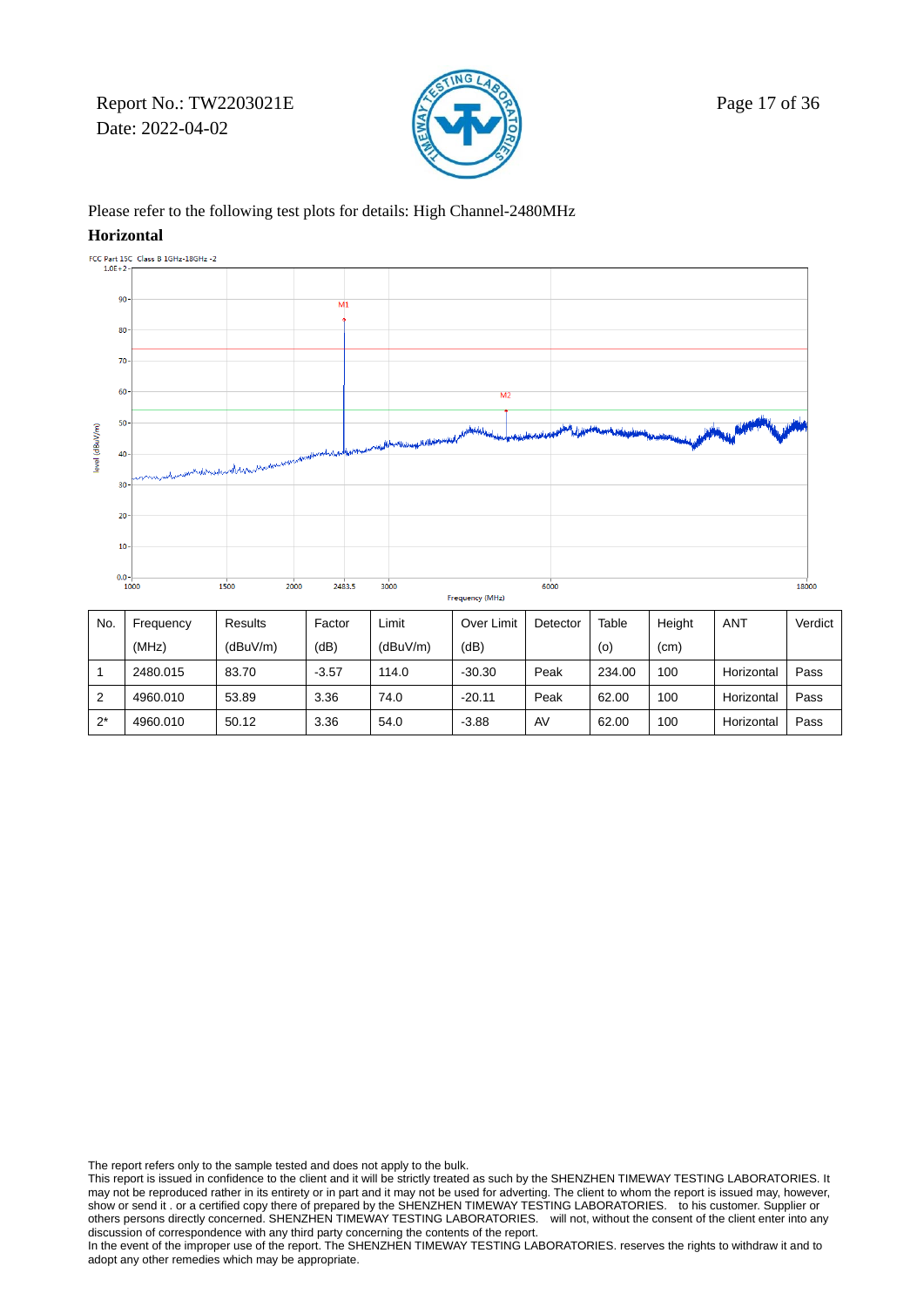Report No.: TW2203021E  $\sqrt{2}$  Page 17 of 36 Date: 2022-04-02



### Please refer to the following test plots for details: High Channel-2480MHz

#### **Horizontal**



| No.   | Frequency | Results  | Factor  | Limit    | Over Limit | Detector | Table  | Height | <b>ANT</b> | Verdict |
|-------|-----------|----------|---------|----------|------------|----------|--------|--------|------------|---------|
|       | (MHz)     | (dBuV/m) | (dB)    | (dBuV/m) | (dB)       |          | (0)    | (cm)   |            |         |
|       | 2480.015  | 83.70    | $-3.57$ | 114.0    | $-30.30$   | Peak     | 234.00 | 100    | Horizontal | Pass    |
| 2     | 4960.010  | 53.89    | 3.36    | 74.0     | $-20.11$   | Peak     | 62.00  | 100    | Horizontal | Pass    |
| $2^*$ | 4960.010  | 50.12    | 3.36    | 54.0     | $-3.88$    | AV       | 62.00  | 100    | Horizontal | Pass    |

The report refers only to the sample tested and does not apply to the bulk.

This report is issued in confidence to the client and it will be strictly treated as such by the SHENZHEN TIMEWAY TESTING LABORATORIES. It may not be reproduced rather in its entirety or in part and it may not be used for adverting. The client to whom the report is issued may, however, show or send it . or a certified copy there of prepared by the SHENZHEN TIMEWAY TESTING LABORATORIES. to his customer. Supplier or others persons directly concerned. SHENZHEN TIMEWAY TESTING LABORATORIES. will not, without the consent of the client enter into any discussion of correspondence with any third party concerning the contents of the report.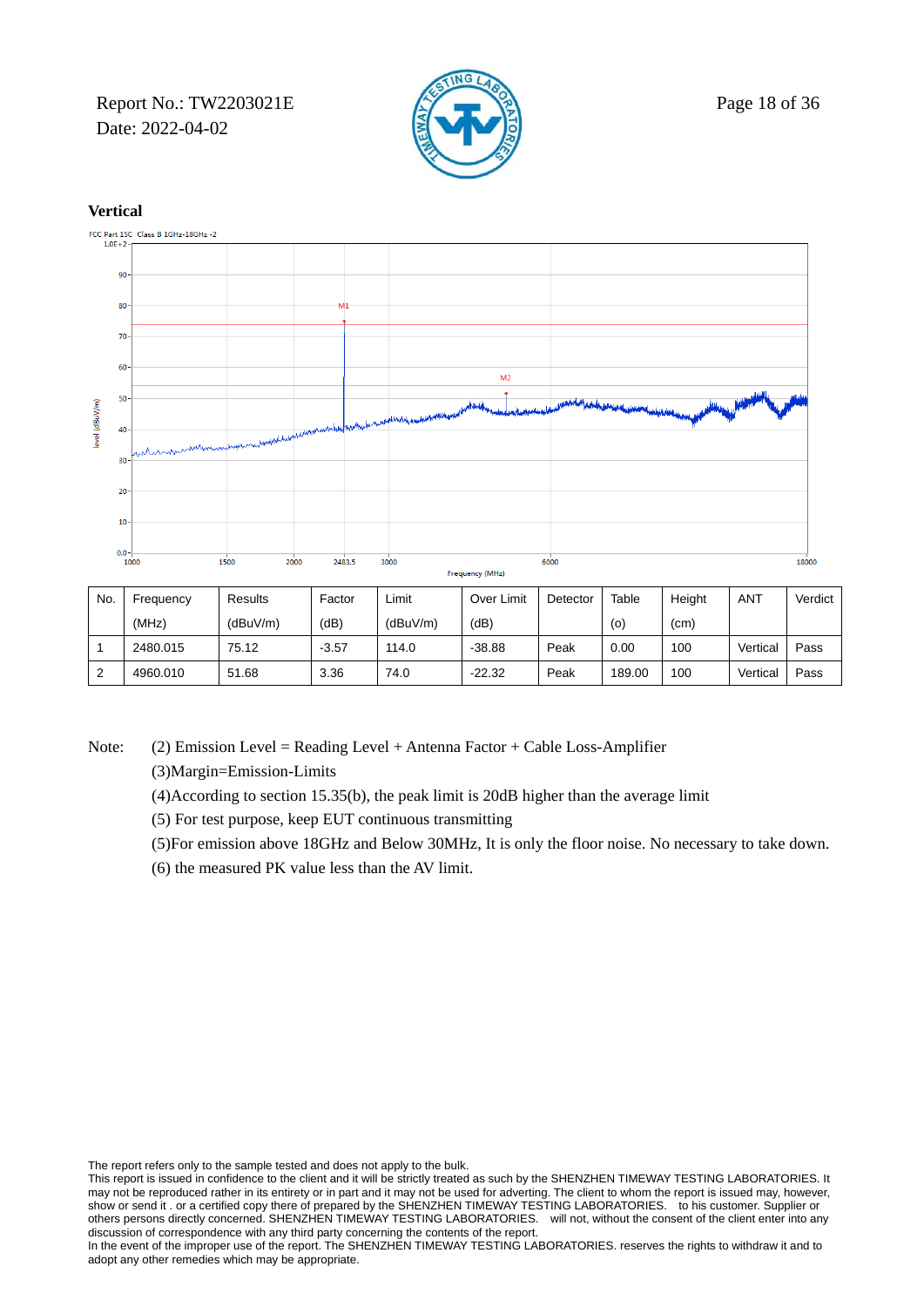Report No.: TW2203021E  $\mathbb{R}$  Page 18 of 36 Date: 2022-04-02





| No. | Frequency | Results  | Factor  | Limit    | Over Limit | Detector | Table  | Height | <b>ANT</b> | Verdict |
|-----|-----------|----------|---------|----------|------------|----------|--------|--------|------------|---------|
|     | (MHz)     | (dBuV/m) | (dB)    | (dBuV/m) | (dB)       |          | (0)    | (cm)   |            |         |
|     | 2480.015  | 75.12    | $-3.57$ | 114.0    | $-38.88$   | Peak     | 0.00   | 100    | Vertical   | Pass    |
|     | 4960.010  | 51.68    | 3.36    | 74.0     | $-22.32$   | Peak     | 189.00 | 100    | Vertical   | Pass    |

Note: (2) Emission Level = Reading Level + Antenna Factor + Cable Loss-Amplifier

(3)Margin=Emission-Limits

- (4)According to section 15.35(b), the peak limit is 20dB higher than the average limit
- (5) For test purpose, keep EUT continuous transmitting
- (5)For emission above 18GHz and Below 30MHz, It is only the floor noise. No necessary to take down.
- (6) the measured PK value less than the AV limit.

The report refers only to the sample tested and does not apply to the bulk.

This report is issued in confidence to the client and it will be strictly treated as such by the SHENZHEN TIMEWAY TESTING LABORATORIES. It may not be reproduced rather in its entirety or in part and it may not be used for adverting. The client to whom the report is issued may, however, show or send it . or a certified copy there of prepared by the SHENZHEN TIMEWAY TESTING LABORATORIES. to his customer. Supplier or others persons directly concerned. SHENZHEN TIMEWAY TESTING LABORATORIES. will not, without the consent of the client enter into any discussion of correspondence with any third party concerning the contents of the report.

In the event of the improper use of the report. The SHENZHEN TIMEWAY TESTING LABORATORIES. reserves the rights to withdraw it and to adopt any other remedies which may be appropriate.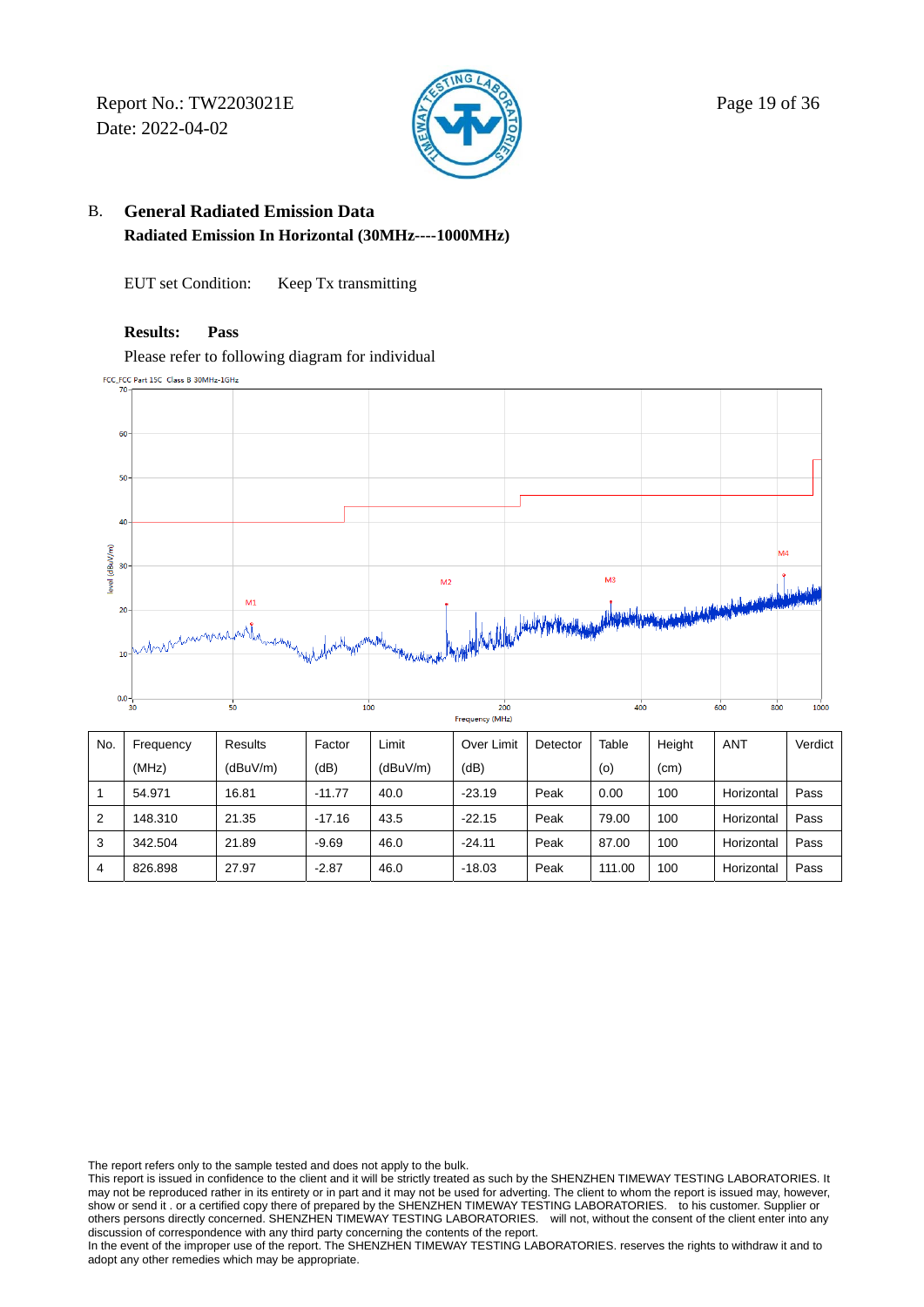Report No.: TW2203021E  $\sqrt{2}$  Page 19 of 36 Date: 2022-04-02



## B. **General Radiated Emission Data Radiated Emission In Horizontal (30MHz----1000MHz)**

EUT set Condition: Keep Tx transmitting

### **Results: Pass**

Please refer to following diagram for individual

FCC\_FCC Part 15C Class B 30MHz-1GHz



| No.            | Frequency | Results  | Factor   | Limit    | Over Limit | Detector | Table  | Height | <b>ANT</b> | Verdict |
|----------------|-----------|----------|----------|----------|------------|----------|--------|--------|------------|---------|
|                | (MHz)     | (dBuV/m) | (dB)     | (dBuV/m) | (dB)       |          | (0)    | (cm)   |            |         |
|                | 54.971    | 16.81    | $-11.77$ | 40.0     | $-23.19$   | Peak     | 0.00   | 100    | Horizontal | Pass    |
| $\overline{2}$ | 148.310   | 21.35    | $-17.16$ | 43.5     | $-22.15$   | Peak     | 79.00  | 100    | Horizontal | Pass    |
| 3              | 342.504   | 21.89    | $-9.69$  | 46.0     | $-24.11$   | Peak     | 87.00  | 100    | Horizontal | Pass    |
| 4              | 826.898   | 27.97    | $-2.87$  | 46.0     | $-18.03$   | Peak     | 111.00 | 100    | Horizontal | Pass    |

The report refers only to the sample tested and does not apply to the bulk.

This report is issued in confidence to the client and it will be strictly treated as such by the SHENZHEN TIMEWAY TESTING LABORATORIES. It may not be reproduced rather in its entirety or in part and it may not be used for adverting. The client to whom the report is issued may, however, show or send it . or a certified copy there of prepared by the SHENZHEN TIMEWAY TESTING LABORATORIES. to his customer. Supplier or others persons directly concerned. SHENZHEN TIMEWAY TESTING LABORATORIES. will not, without the consent of the client enter into any discussion of correspondence with any third party concerning the contents of the report.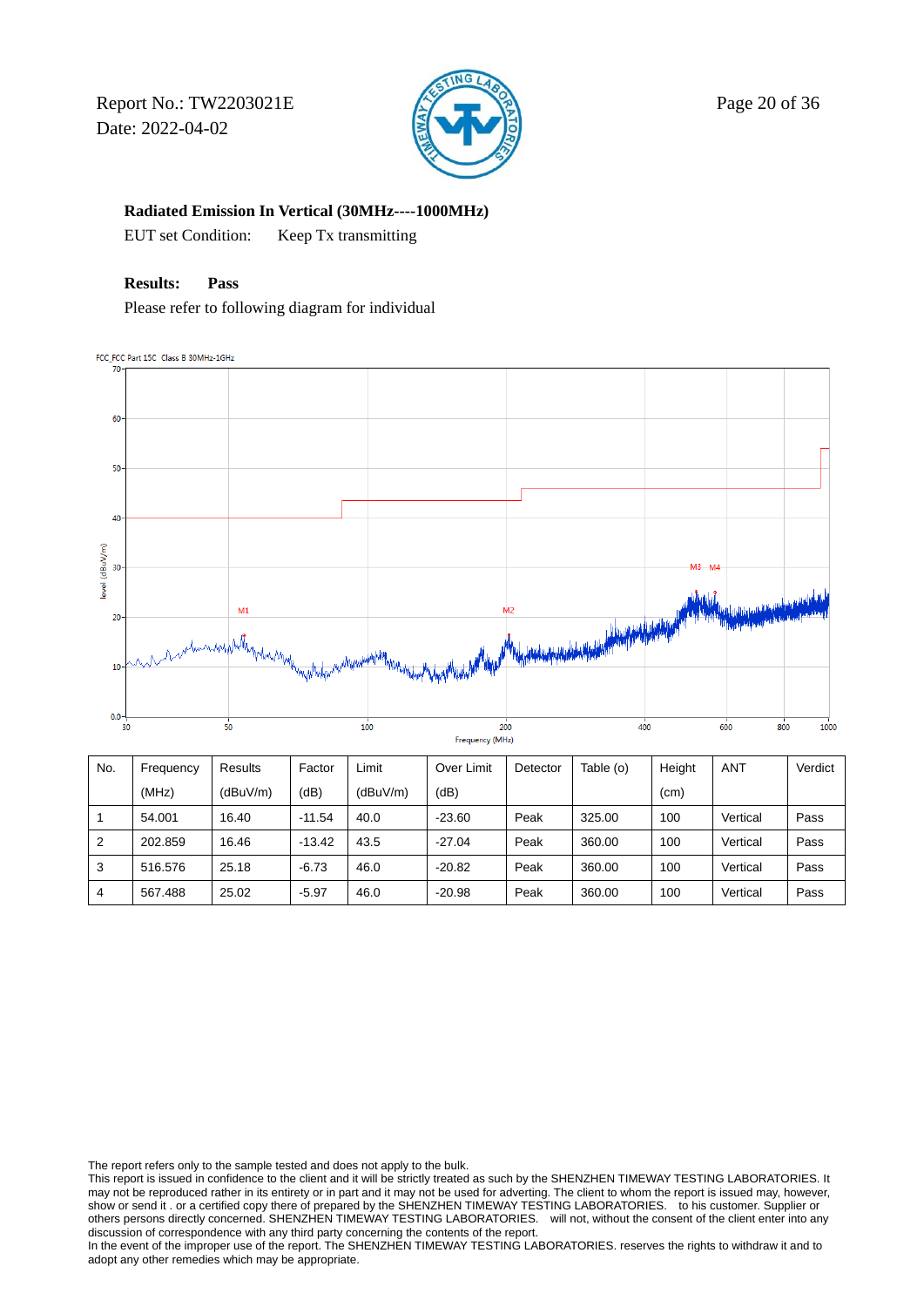Report No.: TW2203021E  $\sqrt{2}$  Page 20 of 36 Date: 2022-04-02



 **Radiated Emission In Vertical (30MHz----1000MHz)** 

EUT set Condition: Keep Tx transmitting

### **Results: Pass**

Please refer to following diagram for individual

FCC\_FCC Part 15C Class B 30MHz-1GHz  $\overline{\mathcal{U}}$ 



| No. | Frequency | Results  | Factor   | ∟imit    | Over Limit | Detector | Table (o) | Height | <b>ANT</b> | Verdict |
|-----|-----------|----------|----------|----------|------------|----------|-----------|--------|------------|---------|
|     | (MHz)     | (dBuV/m) | (dB)     | (dBuV/m) | (dB)       |          |           | (cm)   |            |         |
|     | 54.001    | 16.40    | $-11.54$ | 40.0     | $-23.60$   | Peak     | 325.00    | 100    | Vertical   | Pass    |
| 2   | 202.859   | 16.46    | $-13.42$ | 43.5     | $-27.04$   | Peak     | 360.00    | 100    | Vertical   | Pass    |
| 3   | 516.576   | 25.18    | $-6.73$  | 46.0     | $-20.82$   | Peak     | 360.00    | 100    | Vertical   | Pass    |
| 4   | 567.488   | 25.02    | $-5.97$  | 46.0     | $-20.98$   | Peak     | 360.00    | 100    | Vertical   | Pass    |

The report refers only to the sample tested and does not apply to the bulk.

This report is issued in confidence to the client and it will be strictly treated as such by the SHENZHEN TIMEWAY TESTING LABORATORIES. It may not be reproduced rather in its entirety or in part and it may not be used for adverting. The client to whom the report is issued may, however, show or send it . or a certified copy there of prepared by the SHENZHEN TIMEWAY TESTING LABORATORIES. to his customer. Supplier or others persons directly concerned. SHENZHEN TIMEWAY TESTING LABORATORIES. will not, without the consent of the client enter into any discussion of correspondence with any third party concerning the contents of the report.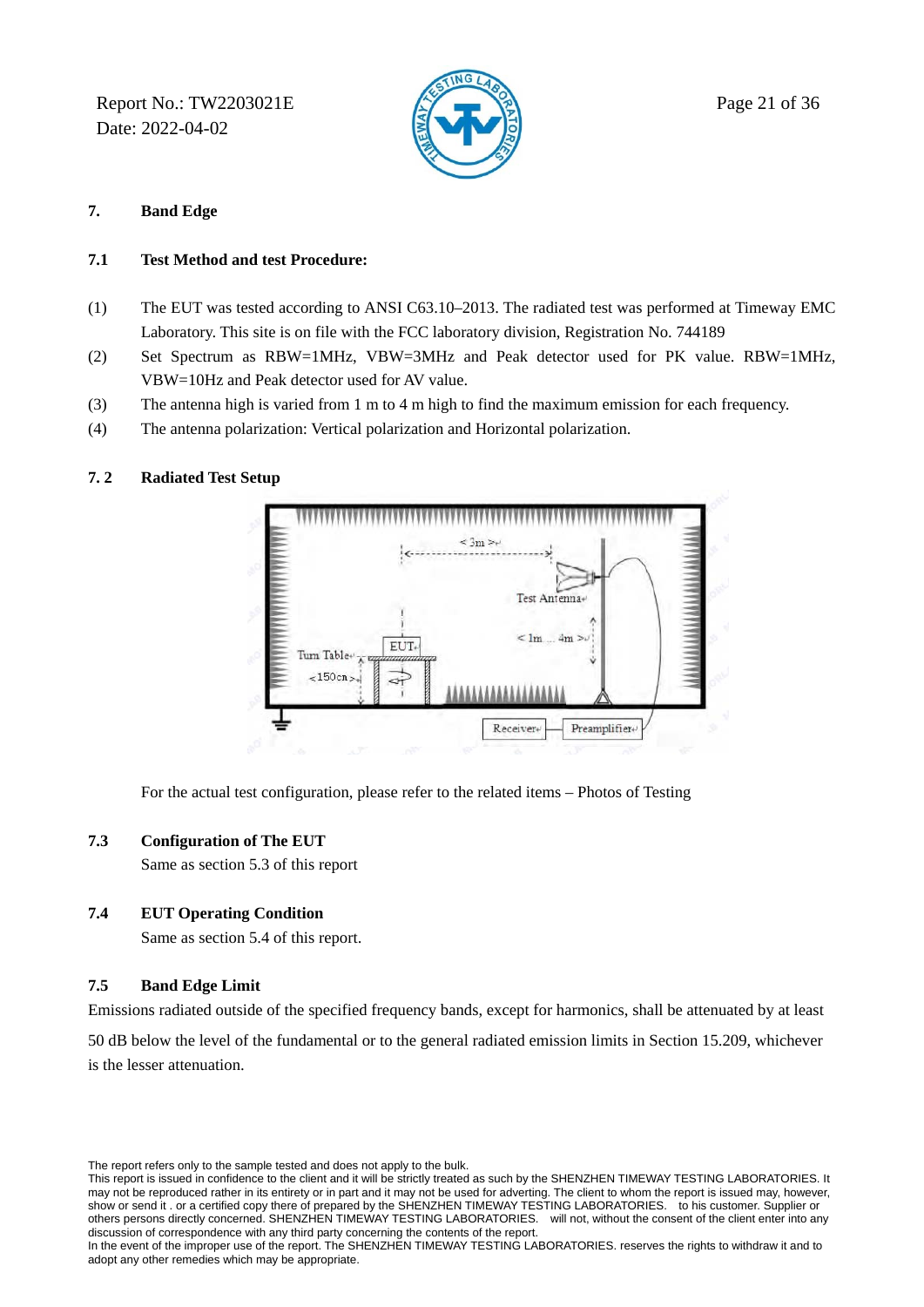Report No.: TW2203021E  $\mathbb{R}$  Page 21 of 36 Date: 2022-04-02



### **7. Band Edge**

### **7.1 Test Method and test Procedure:**

- (1) The EUT was tested according to ANSI C63.10–2013. The radiated test was performed at Timeway EMC Laboratory. This site is on file with the FCC laboratory division, Registration No. 744189
- (2) Set Spectrum as RBW=1MHz, VBW=3MHz and Peak detector used for PK value. RBW=1MHz, VBW=10Hz and Peak detector used for AV value.
- (3) The antenna high is varied from 1 m to 4 m high to find the maximum emission for each frequency.
- (4) The antenna polarization: Vertical polarization and Horizontal polarization.

### **7. 2 Radiated Test Setup**



For the actual test configuration, please refer to the related items – Photos of Testing

### **7.3 Configuration of The EUT**

Same as section 5.3 of this report

### **7.4 EUT Operating Condition**

Same as section 5.4 of this report.

### **7.5 Band Edge Limit**

Emissions radiated outside of the specified frequency bands, except for harmonics, shall be attenuated by at least

50 dB below the level of the fundamental or to the general radiated emission limits in Section 15.209, whichever is the lesser attenuation.

The report refers only to the sample tested and does not apply to the bulk.

This report is issued in confidence to the client and it will be strictly treated as such by the SHENZHEN TIMEWAY TESTING LABORATORIES. It may not be reproduced rather in its entirety or in part and it may not be used for adverting. The client to whom the report is issued may, however, show or send it . or a certified copy there of prepared by the SHENZHEN TIMEWAY TESTING LABORATORIES. to his customer. Supplier or others persons directly concerned. SHENZHEN TIMEWAY TESTING LABORATORIES. will not, without the consent of the client enter into any discussion of correspondence with any third party concerning the contents of the report.

In the event of the improper use of the report. The SHENZHEN TIMEWAY TESTING LABORATORIES. reserves the rights to withdraw it and to adopt any other remedies which may be appropriate.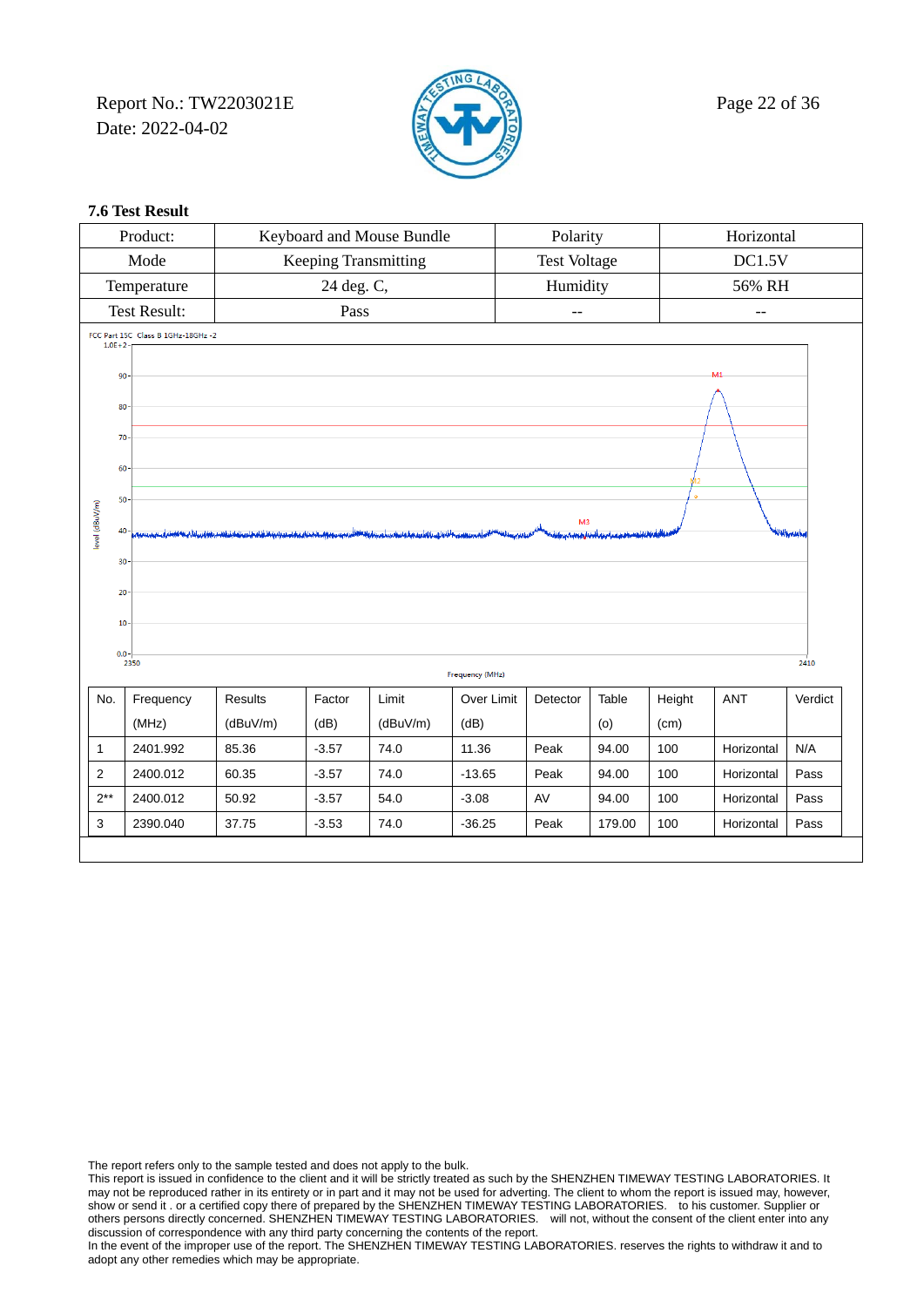Report No.: TW2203021E  $\sqrt{2}$  Page 22 of 36 Date: 2022-04-02



### **7.6 Test Result**

|                         | Product:                           |                |                             | Keyboard and Mouse Bundle |                 | Polarity<br>Horizontal |        |        |                |                    |
|-------------------------|------------------------------------|----------------|-----------------------------|---------------------------|-----------------|------------------------|--------|--------|----------------|--------------------|
|                         | Mode                               |                | <b>Keeping Transmitting</b> |                           |                 | <b>Test Voltage</b>    |        |        | DC1.5V         |                    |
|                         | Temperature                        |                | 24 deg. C,                  |                           |                 | Humidity               |        |        | 56% RH         |                    |
|                         | <b>Test Result:</b>                |                | Pass                        |                           |                 | $-$                    |        |        | $-$            |                    |
| $1.0E + 2$              | FCC Part 15C Class B 1GHz-18GHz -2 |                |                             |                           |                 |                        |        |        |                |                    |
|                         |                                    |                |                             |                           |                 |                        |        |        | M <sub>1</sub> |                    |
| 90                      |                                    |                |                             |                           |                 |                        |        |        |                |                    |
|                         | 80                                 |                |                             |                           |                 |                        |        |        |                |                    |
| 70                      |                                    |                |                             |                           |                 |                        |        |        |                |                    |
|                         | 60                                 |                |                             |                           |                 |                        |        |        |                |                    |
|                         | 50                                 |                |                             |                           |                 |                        |        |        |                |                    |
| level (dBuV/m)          | M <sub>3</sub>                     |                |                             |                           |                 |                        |        |        |                |                    |
|                         | 40-<br>فقاسيناه المفاقشية أبرعت    |                |                             |                           |                 |                        |        |        |                | <b>Klaikerweke</b> |
|                         | 30                                 |                |                             |                           |                 |                        |        |        |                |                    |
|                         | 20                                 |                |                             |                           |                 |                        |        |        |                |                    |
| 10                      |                                    |                |                             |                           |                 |                        |        |        |                |                    |
|                         | $0.0 -$                            |                |                             |                           |                 |                        |        |        |                |                    |
|                         | 2350                               |                |                             |                           | Frequency (MHz) |                        |        |        |                | 2410               |
| No.                     | Frequency                          | <b>Results</b> | Factor                      | Limit                     | Over Limit      | Detector               | Table  | Height | <b>ANT</b>     | Verdict            |
|                         | (MHz)                              | (dBuV/m)       | (dB)                        | (dBuV/m)                  | (dB)            |                        | (0)    | (cm)   |                |                    |
| $\mathbf{1}$            | 2401.992                           | 85.36          | $-3.57$                     | 74.0                      | 11.36           | Peak                   | 94.00  | 100    | Horizontal     | N/A                |
| $\overline{\mathbf{c}}$ | 2400.012                           | 60.35          | $-3.57$                     | 74.0                      | $-13.65$        | Peak                   | 94.00  | 100    | Horizontal     | Pass               |
| $2**$                   | 2400.012                           | 50.92          | $-3.57$                     | 54.0                      | $-3.08$         | AV                     | 94.00  | 100    | Horizontal     | Pass               |
| 3                       | 2390.040                           | 37.75          | $-3.53$                     | 74.0                      | $-36.25$        | Peak                   | 179.00 | 100    | Horizontal     | Pass               |
|                         |                                    |                |                             |                           |                 |                        |        |        |                |                    |

The report refers only to the sample tested and does not apply to the bulk.

This report is issued in confidence to the client and it will be strictly treated as such by the SHENZHEN TIMEWAY TESTING LABORATORIES. It may not be reproduced rather in its entirety or in part and it may not be used for adverting. The client to whom the report is issued may, however, show or send it . or a certified copy there of prepared by the SHENZHEN TIMEWAY TESTING LABORATORIES. to his customer. Supplier or others persons directly concerned. SHENZHEN TIMEWAY TESTING LABORATORIES. will not, without the consent of the client enter into any discussion of correspondence with any third party concerning the contents of the report.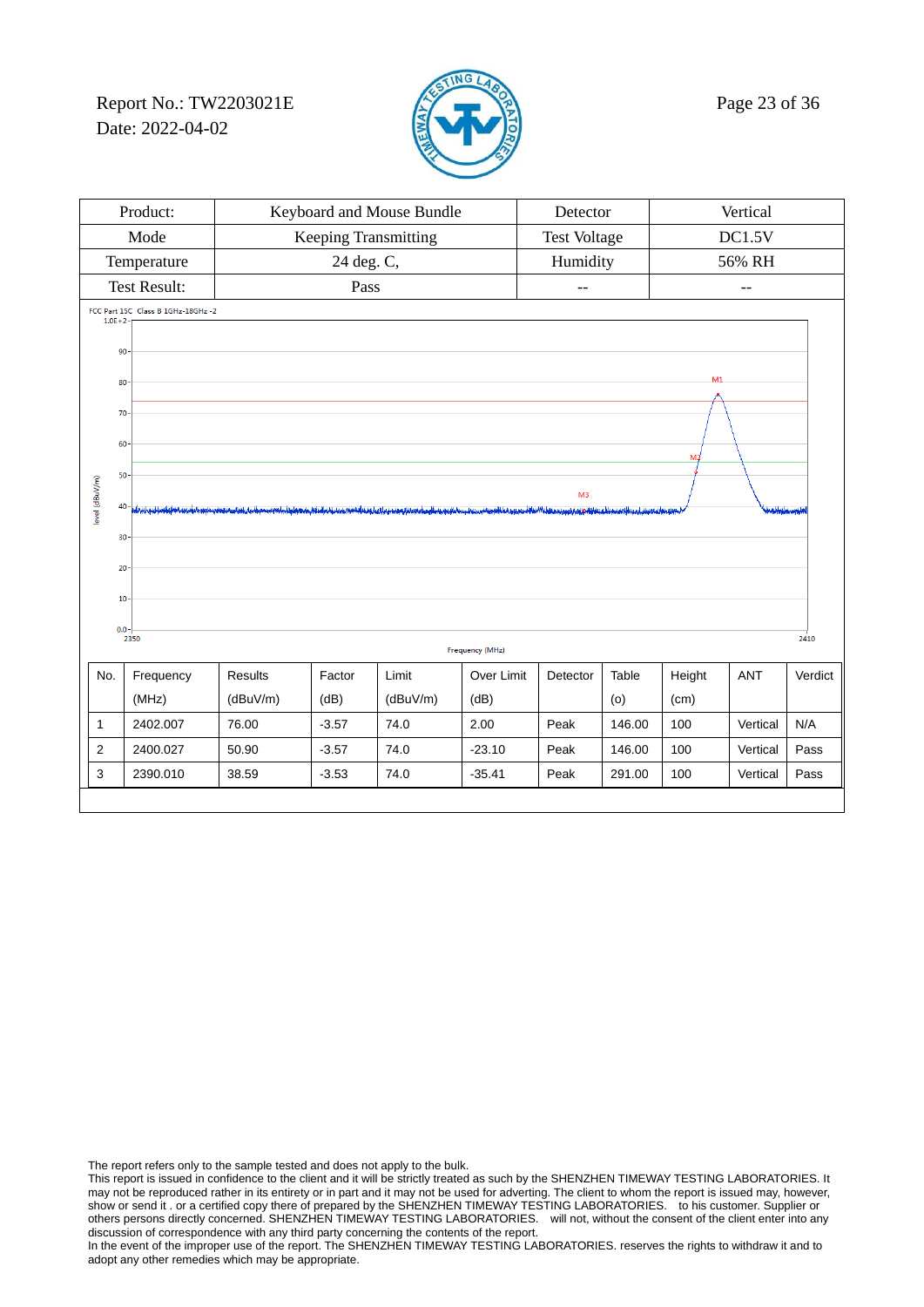Report No.: TW2203021E  $\sqrt{2}$  Page 23 of 36 Date: 2022-04-02



| Vertical<br>Product:<br>Keyboard and Mouse Bundle<br>Detector |                                                                                                    |          |                      |          |                 |                     |                   |                |          |      |
|---------------------------------------------------------------|----------------------------------------------------------------------------------------------------|----------|----------------------|----------|-----------------|---------------------|-------------------|----------------|----------|------|
|                                                               | Mode                                                                                               |          | Keeping Transmitting |          |                 | <b>Test Voltage</b> |                   |                | DC1.5V   |      |
|                                                               | Temperature                                                                                        |          | 24 deg. C,           |          |                 | Humidity            |                   |                | 56% RH   |      |
|                                                               | <b>Test Result:</b>                                                                                |          | Pass                 |          |                 | --                  |                   |                | $-1$     |      |
| $1.0E + 2$                                                    | FCC Part 15C Class B 1GHz-18GHz -2                                                                 |          |                      |          |                 |                     |                   |                |          |      |
| 90                                                            |                                                                                                    |          |                      |          |                 |                     |                   |                |          |      |
| 80                                                            |                                                                                                    |          |                      |          |                 |                     |                   | M <sub>1</sub> |          |      |
|                                                               |                                                                                                    |          |                      |          |                 |                     |                   |                |          |      |
| 70                                                            |                                                                                                    |          |                      |          |                 |                     |                   |                |          |      |
| 60                                                            |                                                                                                    |          |                      |          |                 |                     |                   | M              |          |      |
| 50                                                            |                                                                                                    |          |                      |          |                 |                     |                   |                |          |      |
| level (dBuV/m)                                                | M <sub>3</sub>                                                                                     |          |                      |          |                 |                     | فللورس والمغالمتك |                |          |      |
|                                                               |                                                                                                    |          |                      |          |                 |                     |                   |                |          |      |
| 30                                                            |                                                                                                    |          |                      |          |                 |                     |                   |                |          |      |
| 20                                                            |                                                                                                    |          |                      |          |                 |                     |                   |                |          |      |
| 10                                                            |                                                                                                    |          |                      |          |                 |                     |                   |                |          |      |
| $0.0 -$                                                       |                                                                                                    |          |                      |          |                 |                     |                   |                |          |      |
|                                                               | 2350                                                                                               |          |                      |          | Frequency (MHz) |                     |                   |                |          | 2410 |
| No.                                                           | Limit<br>Frequency<br><b>Results</b><br>Factor<br>Over Limit<br>Table<br>Height<br>ANT<br>Detector |          |                      |          |                 |                     |                   |                | Verdict  |      |
|                                                               | (MHz)                                                                                              | (dBuV/m) | (dB)                 | (dBuV/m) | (dB)            |                     | (0)               | (cm)           |          |      |
| $\mathbf{1}$                                                  | 2402.007                                                                                           | 76.00    | $-3.57$              | 74.0     | 2.00            | Peak                | 146.00            | 100            | Vertical | N/A  |
| 2                                                             | 2400.027                                                                                           | 50.90    | $-3.57$              | 74.0     | $-23.10$        | Peak                | 146.00            | 100            | Vertical | Pass |
| 3                                                             | 2390.010                                                                                           | 38.59    | $-3.53$              | 74.0     | $-35.41$        | Peak                | 291.00            | 100            | Vertical | Pass |
|                                                               |                                                                                                    |          |                      |          |                 |                     |                   |                |          |      |

The report refers only to the sample tested and does not apply to the bulk.

This report is issued in confidence to the client and it will be strictly treated as such by the SHENZHEN TIMEWAY TESTING LABORATORIES. It may not be reproduced rather in its entirety or in part and it may not be used for adverting. The client to whom the report is issued may, however, show or send it . or a certified copy there of prepared by the SHENZHEN TIMEWAY TESTING LABORATORIES. to his customer. Supplier or others persons directly concerned. SHENZHEN TIMEWAY TESTING LABORATORIES. will not, without the consent of the client enter into any discussion of correspondence with any third party concerning the contents of the report.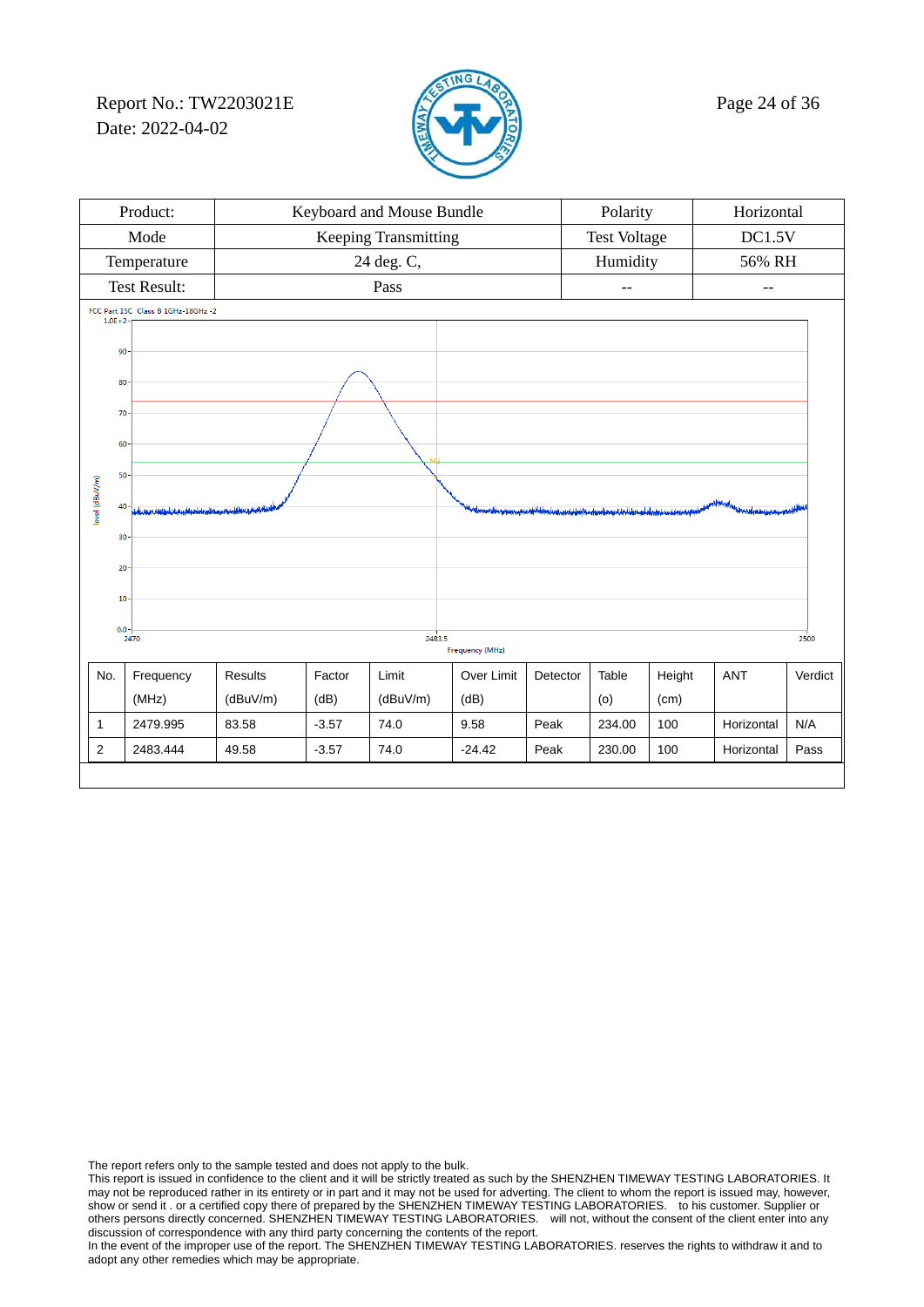Report No.: TW2203021E  $\sqrt{2}$  Page 24 of 36 Date: 2022-04-02



| Product:                                         |                                                         |                |                 | Keyboard and Mouse Bundle |                 | Polarity<br>Horizontal                                                                                                |                     |        |                                                                                                                             |         |
|--------------------------------------------------|---------------------------------------------------------|----------------|-----------------|---------------------------|-----------------|-----------------------------------------------------------------------------------------------------------------------|---------------------|--------|-----------------------------------------------------------------------------------------------------------------------------|---------|
|                                                  | Mode                                                    |                |                 | Keeping Transmitting      |                 |                                                                                                                       | <b>Test Voltage</b> |        | DC1.5V                                                                                                                      |         |
|                                                  | Temperature                                             |                |                 | 24 deg. C,                |                 |                                                                                                                       | Humidity            |        | 56% RH                                                                                                                      |         |
|                                                  | <b>Test Result:</b>                                     |                |                 | Pass                      |                 |                                                                                                                       | --                  |        | --                                                                                                                          |         |
| FCC Part 15C Class B 1GHz-18GHz -2<br>$1.0E + 2$ |                                                         |                |                 |                           |                 |                                                                                                                       |                     |        |                                                                                                                             |         |
|                                                  |                                                         |                |                 |                           |                 |                                                                                                                       |                     |        |                                                                                                                             |         |
| 90                                               |                                                         |                |                 |                           |                 |                                                                                                                       |                     |        |                                                                                                                             |         |
|                                                  | 80                                                      |                |                 |                           |                 |                                                                                                                       |                     |        |                                                                                                                             |         |
| 70                                               |                                                         |                |                 |                           |                 |                                                                                                                       |                     |        |                                                                                                                             |         |
| 60                                               |                                                         |                |                 |                           |                 |                                                                                                                       |                     |        |                                                                                                                             |         |
| 50                                               |                                                         |                |                 |                           |                 |                                                                                                                       |                     |        |                                                                                                                             |         |
| level (dBuV/m)                                   |                                                         |                |                 |                           |                 |                                                                                                                       |                     |        |                                                                                                                             |         |
|                                                  | 40<br>ودبالسربة باحتماله وبقناء بالمطلقة فرعيتا والمراد |                |                 |                           |                 | <u>يەس سەخ ئەرىسى ئەرەق ئەرەپ ئولۇپ ئورۇن ئورۇن ئورۇن ئورۇن ئورۇن ئورۇن ئورۇن ئورۇن ئورۇن ئورۇن ئورۇن ئورۇن ئورۇن</u> |                     |        | بالواقع المستقررة المستقرة المستقرة المستقرة المستقرة المستقرة المستقرة المستقرة المستقرة المستقرة المستقرة ال<br>المستقررة |         |
| 30                                               |                                                         |                |                 |                           |                 |                                                                                                                       |                     |        |                                                                                                                             |         |
| 20                                               |                                                         |                |                 |                           |                 |                                                                                                                       |                     |        |                                                                                                                             |         |
| 10                                               |                                                         |                |                 |                           |                 |                                                                                                                       |                     |        |                                                                                                                             |         |
| $0.0 -$                                          |                                                         |                |                 |                           |                 |                                                                                                                       |                     |        |                                                                                                                             |         |
|                                                  | 2470                                                    |                |                 | 2483.5                    | Frequency (MHz) |                                                                                                                       |                     |        |                                                                                                                             | 2500    |
| No.                                              | Frequency                                               | <b>Results</b> | Factor          | Limit                     | Over Limit      | Detector                                                                                                              | Table               | Height | <b>ANT</b>                                                                                                                  | Verdict |
|                                                  | (MHz)                                                   | (dBuV/m)       | (dB)            | (dBuV/m)                  | (dB)            |                                                                                                                       | (o)                 | (cm)   |                                                                                                                             |         |
| $\mathbf{1}$                                     | 2479.995                                                | 83.58          | $-3.57$         | 74.0                      | 9.58            | Peak                                                                                                                  | 234.00              | 100    | Horizontal                                                                                                                  | N/A     |
| 2                                                | 2483.444                                                | 49.58          | $-3.57$<br>74.0 |                           | $-24.42$        | Peak                                                                                                                  | 230.00              | 100    | Horizontal                                                                                                                  | Pass    |
|                                                  |                                                         |                |                 |                           |                 |                                                                                                                       |                     |        |                                                                                                                             |         |

The report refers only to the sample tested and does not apply to the bulk.

This report is issued in confidence to the client and it will be strictly treated as such by the SHENZHEN TIMEWAY TESTING LABORATORIES. It may not be reproduced rather in its entirety or in part and it may not be used for adverting. The client to whom the report is issued may, however, show or send it . or a certified copy there of prepared by the SHENZHEN TIMEWAY TESTING LABORATORIES. to his customer. Supplier or others persons directly concerned. SHENZHEN TIMEWAY TESTING LABORATORIES. will not, without the consent of the client enter into any discussion of correspondence with any third party concerning the contents of the report.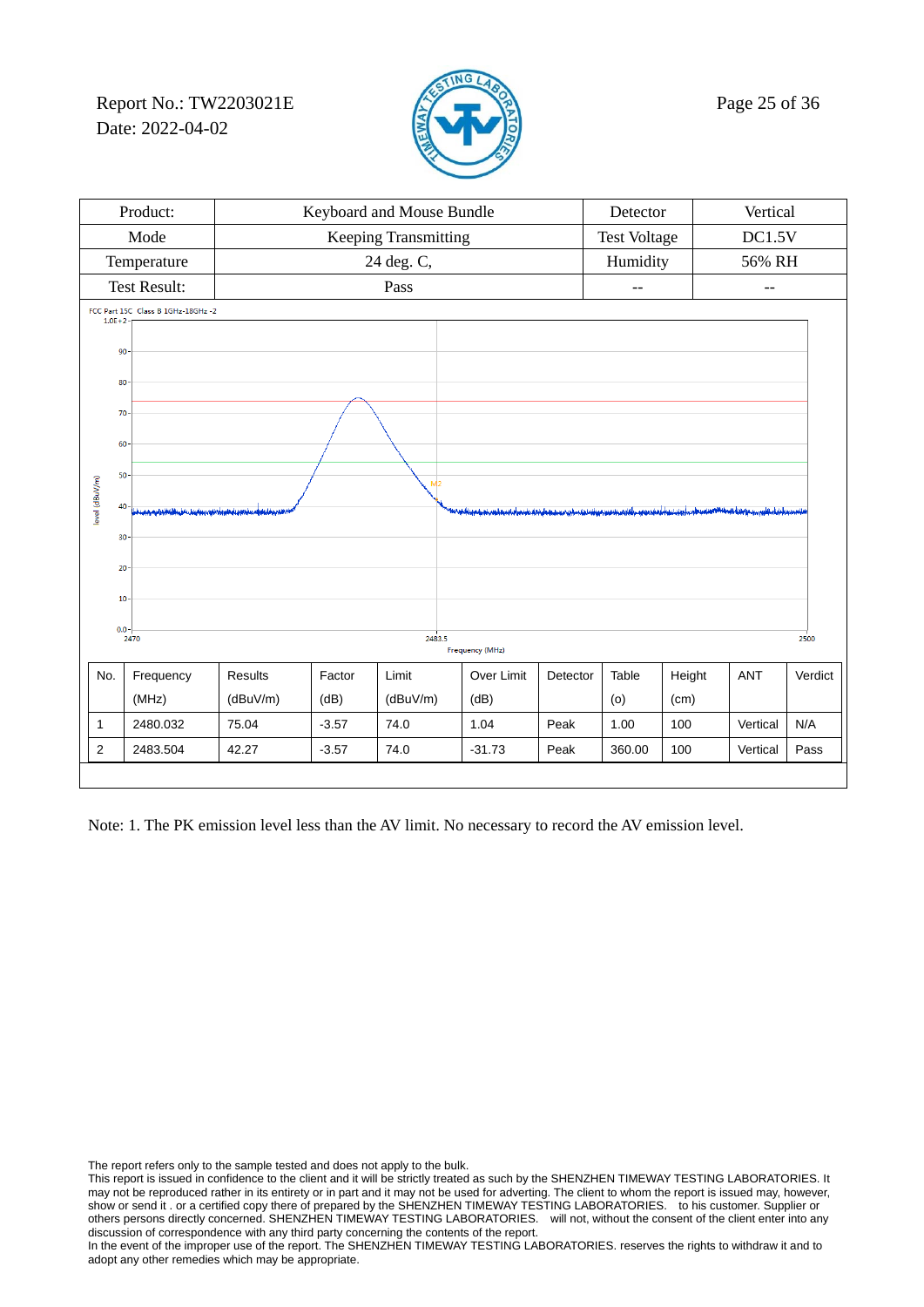Report No.: TW2203021E  $\mathbb{Z}$  Page 25 of 36 Date: 2022-04-02



|                | Product:                                                    | Keyboard and Mouse Bundle |                      | Detector           |                                                                                                                                   | Vertical            |        |        |            |         |
|----------------|-------------------------------------------------------------|---------------------------|----------------------|--------------------|-----------------------------------------------------------------------------------------------------------------------------------|---------------------|--------|--------|------------|---------|
|                | Mode                                                        |                           | Keeping Transmitting |                    |                                                                                                                                   | <b>Test Voltage</b> |        | DC1.5V |            |         |
|                | Temperature                                                 |                           |                      | Humidity<br>56% RH |                                                                                                                                   |                     |        |        |            |         |
|                | <b>Test Result:</b>                                         | Pass                      |                      |                    | $-1$                                                                                                                              |                     | $-$    |        |            |         |
|                | FCC Part 15C Class B 1GHz-18GHz -2<br>$1.0E + 2$            |                           |                      |                    |                                                                                                                                   |                     |        |        |            |         |
|                | 90                                                          |                           |                      |                    |                                                                                                                                   |                     |        |        |            |         |
|                |                                                             |                           |                      |                    |                                                                                                                                   |                     |        |        |            |         |
|                | 80                                                          |                           |                      |                    |                                                                                                                                   |                     |        |        |            |         |
|                | 70                                                          |                           |                      |                    |                                                                                                                                   |                     |        |        |            |         |
|                | 60                                                          |                           |                      |                    |                                                                                                                                   |                     |        |        |            |         |
|                | 50                                                          |                           |                      | M <sub>2</sub>     |                                                                                                                                   |                     |        |        |            |         |
| level (dBuV/m) | 40<br>ويبأره فقيفن ومعافر وفيل واقول فكالتعظيظ والويس يفرون |                           |                      |                    | المناقب والمناسب والمناقبة والأناثية المناقب المناسبة والمناسب القارب ويستمر فيناسبان والمناسب الملاحق المتعاوي والمناسب والمناقب |                     |        |        |            |         |
|                | 30                                                          |                           |                      |                    |                                                                                                                                   |                     |        |        |            |         |
|                |                                                             |                           |                      |                    |                                                                                                                                   |                     |        |        |            |         |
|                | 20                                                          |                           |                      |                    |                                                                                                                                   |                     |        |        |            |         |
|                | 10                                                          |                           |                      |                    |                                                                                                                                   |                     |        |        |            |         |
|                | $0.0 -$<br>2470                                             |                           |                      | 2483.5             |                                                                                                                                   |                     |        |        |            | 2500    |
|                | Frequency (MHz)                                             |                           |                      |                    |                                                                                                                                   |                     |        |        |            |         |
| No.            | Frequency                                                   | Results                   | Factor               | Limit              | Over Limit                                                                                                                        | Detector            | Table  | Height | <b>ANT</b> | Verdict |
|                | (MHz)                                                       | (dBuV/m)                  | (dB)                 | (dBuV/m)           | (dB)                                                                                                                              |                     | (0)    | (cm)   |            |         |
| $\mathbf{1}$   | 2480.032                                                    | 75.04                     | $-3.57$              | 74.0               | 1.04                                                                                                                              | Peak                | 1.00   | 100    | Vertical   | N/A     |
| $\overline{2}$ | 2483.504                                                    | 42.27<br>$-3.57$<br>74.0  |                      |                    | $-31.73$                                                                                                                          | Peak                | 360.00 | 100    | Vertical   | Pass    |

Note: 1. The PK emission level less than the AV limit. No necessary to record the AV emission level.

The report refers only to the sample tested and does not apply to the bulk.

This report is issued in confidence to the client and it will be strictly treated as such by the SHENZHEN TIMEWAY TESTING LABORATORIES. It may not be reproduced rather in its entirety or in part and it may not be used for adverting. The client to whom the report is issued may, however, show or send it . or a certified copy there of prepared by the SHENZHEN TIMEWAY TESTING LABORATORIES. to his customer. Supplier or others persons directly concerned. SHENZHEN TIMEWAY TESTING LABORATORIES. will not, without the consent of the client enter into any discussion of correspondence with any third party concerning the contents of the report.

In the event of the improper use of the report. The SHENZHEN TIMEWAY TESTING LABORATORIES. reserves the rights to withdraw it and to adopt any other remedies which may be appropriate.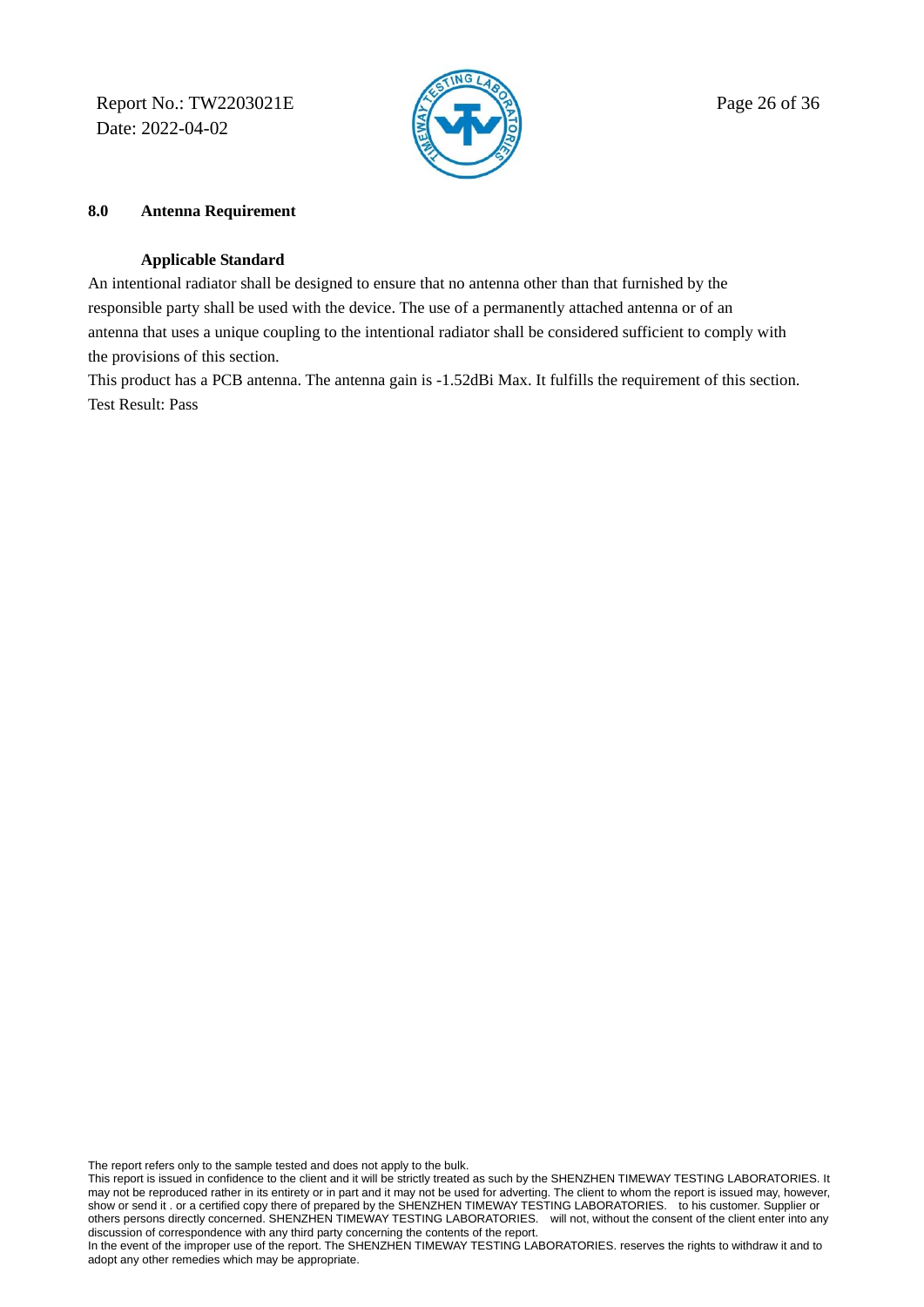Report No.: TW2203021E  $\mathbb{R}$  Page 26 of 36 Date: 2022-04-02



### **8.0 Antenna Requirement**

### **Applicable Standard**

An intentional radiator shall be designed to ensure that no antenna other than that furnished by the responsible party shall be used with the device. The use of a permanently attached antenna or of an antenna that uses a unique coupling to the intentional radiator shall be considered sufficient to comply with the provisions of this section.

This product has a PCB antenna. The antenna gain is -1.52dBi Max. It fulfills the requirement of this section. Test Result: Pass

The report refers only to the sample tested and does not apply to the bulk.

This report is issued in confidence to the client and it will be strictly treated as such by the SHENZHEN TIMEWAY TESTING LABORATORIES. It may not be reproduced rather in its entirety or in part and it may not be used for adverting. The client to whom the report is issued may, however, show or send it . or a certified copy there of prepared by the SHENZHEN TIMEWAY TESTING LABORATORIES. to his customer. Supplier or others persons directly concerned. SHENZHEN TIMEWAY TESTING LABORATORIES. will not, without the consent of the client enter into any discussion of correspondence with any third party concerning the contents of the report.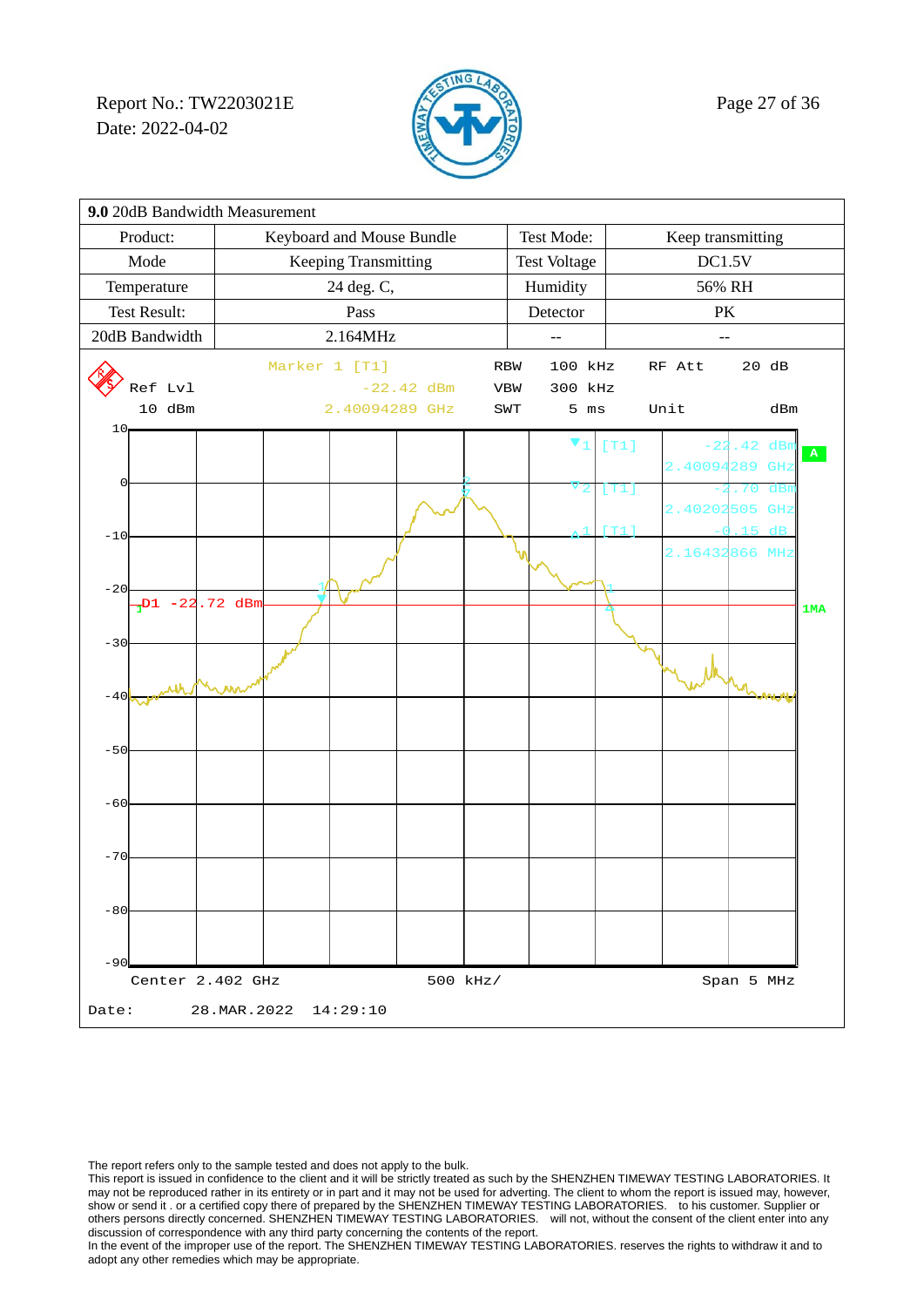Report No.: TW2203021E  $\mathbb{Z}$  Page 27 of 36 Date: 2022-04-02



| 9.0 20dB Bandwidth Measurement    |                                            |  |                           |                      |              |  |            |                     |      |                   |         |     |           |
|-----------------------------------|--------------------------------------------|--|---------------------------|----------------------|--------------|--|------------|---------------------|------|-------------------|---------|-----|-----------|
| Product:                          |                                            |  | Keyboard and Mouse Bundle |                      |              |  |            | Test Mode:          |      | Keep transmitting |         |     |           |
| Mode                              |                                            |  |                           | Keeping Transmitting |              |  |            | <b>Test Voltage</b> |      | DC1.5V            |         |     |           |
| Temperature<br>24 deg. C,         |                                            |  |                           |                      |              |  | Humidity   |                     |      | 56% RH            |         |     |           |
| <b>Test Result:</b>               |                                            |  |                           | Pass                 |              |  | Detector   |                     |      | PK                |         |     |           |
| 20dB Bandwidth                    |                                            |  |                           | 2.164MHz             |              |  |            |                     |      |                   |         |     |           |
|                                   |                                            |  | Marker 1 [T1]             |                      |              |  | <b>RBW</b> | 100 kHz             |      | RF Att            | 20 dB   |     |           |
|                                   | Ref Lvl                                    |  |                           |                      | $-22.42$ dBm |  | VBW        | 300 kHz             |      |                   |         |     |           |
|                                   | 10 dBm                                     |  |                           | 2.40094289 GHz       |              |  | SWT        | $5$ ms              |      | Unit              |         | dBm |           |
| 10 <sub>1</sub>                   |                                            |  |                           |                      |              |  |            | V                   | [T1] |                   | 42      | dBt |           |
|                                   |                                            |  |                           |                      |              |  |            |                     |      | 2.40094           | 289     | GHz | ${\bf A}$ |
| 0                                 |                                            |  |                           |                      |              |  |            |                     | [T1] |                   |         | dB  |           |
|                                   |                                            |  |                           |                      |              |  |            |                     |      | 2.40202           | 505     | GHz |           |
| $-10$                             |                                            |  |                           |                      |              |  |            |                     | [T1] |                   | 15      | dB  |           |
|                                   |                                            |  |                           |                      |              |  |            |                     |      | 2.16432           | 866 MHz |     |           |
| $-20$                             |                                            |  |                           |                      |              |  |            |                     |      |                   |         |     |           |
|                                   | $\frac{1}{1}$ D1 -22.72 dBm                |  |                           |                      |              |  |            |                     |      |                   |         |     | 1MA       |
| $-30$                             |                                            |  |                           |                      |              |  |            |                     |      |                   |         |     |           |
|                                   |                                            |  |                           |                      |              |  |            |                     |      |                   |         |     |           |
|                                   |                                            |  |                           |                      |              |  |            |                     |      |                   |         |     |           |
| $-40$                             |                                            |  |                           |                      |              |  |            |                     |      |                   |         |     |           |
|                                   |                                            |  |                           |                      |              |  |            |                     |      |                   |         |     |           |
| $-50$                             |                                            |  |                           |                      |              |  |            |                     |      |                   |         |     |           |
|                                   |                                            |  |                           |                      |              |  |            |                     |      |                   |         |     |           |
| $-60$                             |                                            |  |                           |                      |              |  |            |                     |      |                   |         |     |           |
|                                   |                                            |  |                           |                      |              |  |            |                     |      |                   |         |     |           |
| $-70$                             |                                            |  |                           |                      |              |  |            |                     |      |                   |         |     |           |
|                                   |                                            |  |                           |                      |              |  |            |                     |      |                   |         |     |           |
|                                   |                                            |  |                           |                      |              |  |            |                     |      |                   |         |     |           |
| $-80$                             |                                            |  |                           |                      |              |  |            |                     |      |                   |         |     |           |
|                                   |                                            |  |                           |                      |              |  |            |                     |      |                   |         |     |           |
| $-90$                             |                                            |  |                           |                      |              |  |            |                     |      |                   |         |     |           |
|                                   | Center 2.402 GHz<br>500 kHz/<br>Span 5 MHz |  |                           |                      |              |  |            |                     |      |                   |         |     |           |
| 28. MAR. 2022 14: 29: 10<br>Date: |                                            |  |                           |                      |              |  |            |                     |      |                   |         |     |           |

The report refers only to the sample tested and does not apply to the bulk.

This report is issued in confidence to the client and it will be strictly treated as such by the SHENZHEN TIMEWAY TESTING LABORATORIES. It may not be reproduced rather in its entirety or in part and it may not be used for adverting. The client to whom the report is issued may, however, show or send it . or a certified copy there of prepared by the SHENZHEN TIMEWAY TESTING LABORATORIES. to his customer. Supplier or others persons directly concerned. SHENZHEN TIMEWAY TESTING LABORATORIES. will not, without the consent of the client enter into any discussion of correspondence with any third party concerning the contents of the report.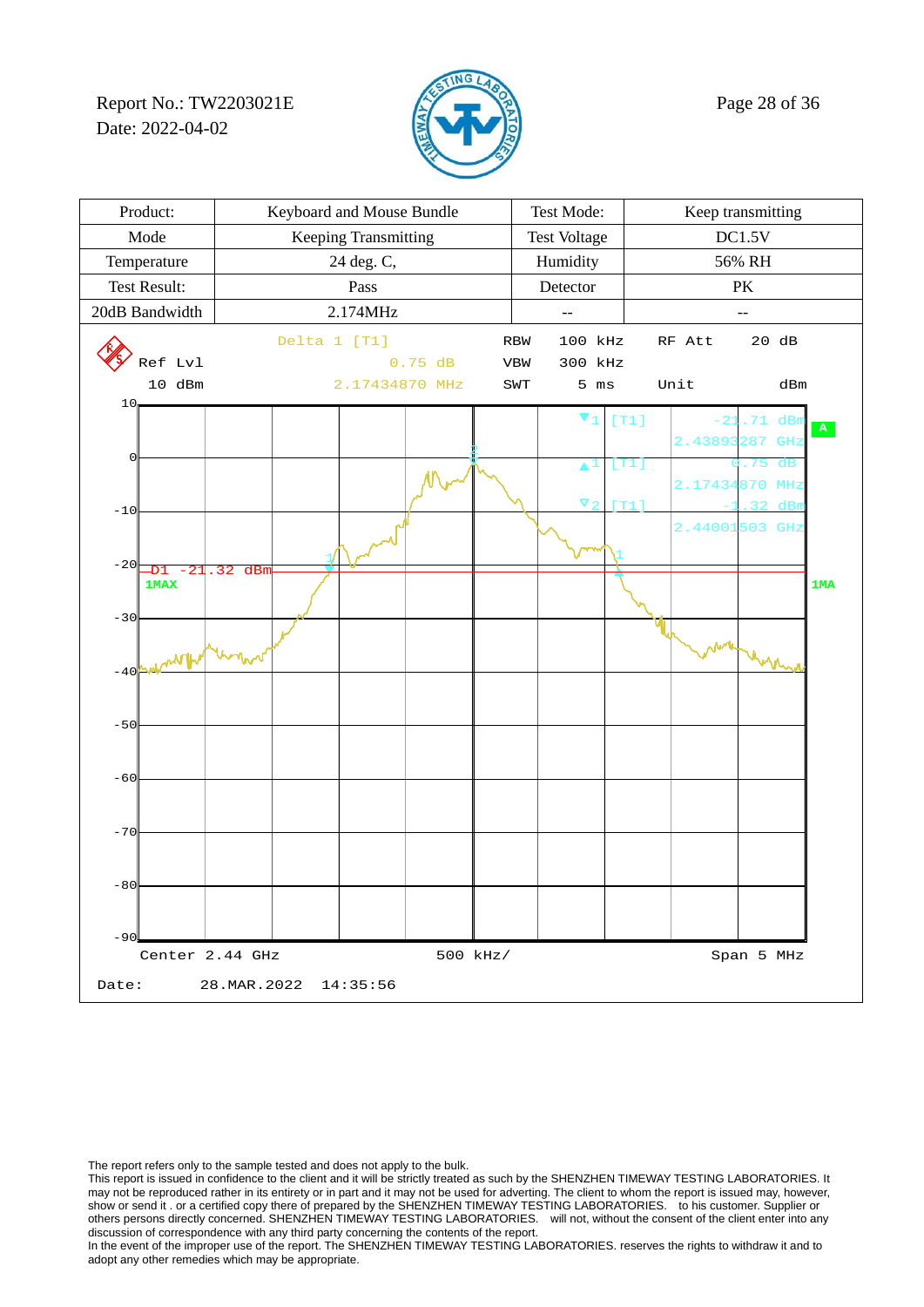Report No.: TW2203021E  $\sqrt{2}$  Page 28 of 36 Date: 2022-04-02



| Product:                                      | Keyboard and Mouse Bundle | Test Mode:             | Keep transmitting          |
|-----------------------------------------------|---------------------------|------------------------|----------------------------|
| Mode                                          | Keeping Transmitting      | <b>Test Voltage</b>    | DC1.5V                     |
| Temperature                                   | 24 deg. C,                | Humidity               | 56% RH                     |
| Test Result:                                  | Pass                      | Detector               | PK                         |
| 20dB Bandwidth                                | 2.174MHz                  | $-$                    | --                         |
|                                               | Delta 1 [T1]              | 100 kHz<br><b>RBW</b>  | 20 dB<br>RF Att            |
| Ref Lvl                                       | 0.75 dB                   | 300 kHz<br>VBW         |                            |
| 10 dBm<br>10                                  | 2.17434870 MHz            | $5$ ms<br>SWT          | Unit<br>dBm                |
|                                               |                           | $\blacktriangledown_1$ | [T1]<br>71<br>$\mathbf{A}$ |
|                                               |                           |                        | 2.4389<br>287<br>GHz       |
| 0                                             |                           | A                      | [T1]<br>dF                 |
|                                               |                           | $\Delta$               | 2.1743<br>870<br>MH:       |
| $-10$                                         |                           |                        | $2.44001$ 503 GHz          |
|                                               |                           |                        |                            |
| $-20$<br>.32 dBm<br>-21<br>-D1<br><b>1MAX</b> |                           |                        | 1MA                        |
|                                               |                           |                        |                            |
| $-30$                                         |                           |                        |                            |
| <b>MANTH</b>                                  |                           |                        | n Awrle                    |
| $-40$                                         |                           |                        |                            |
|                                               |                           |                        |                            |
| $-50$                                         |                           |                        |                            |
|                                               |                           |                        |                            |
| $-60$                                         |                           |                        |                            |
|                                               |                           |                        |                            |
| $-70$                                         |                           |                        |                            |
|                                               |                           |                        |                            |
| $-80$                                         |                           |                        |                            |
|                                               |                           |                        |                            |
| $-90$                                         |                           |                        |                            |
| Center 2.44 GHz                               | 500 kHz/                  |                        | Span 5 MHz                 |
| Date:                                         | 28. MAR. 2022<br>14:35:56 |                        |                            |

The report refers only to the sample tested and does not apply to the bulk.

This report is issued in confidence to the client and it will be strictly treated as such by the SHENZHEN TIMEWAY TESTING LABORATORIES. It may not be reproduced rather in its entirety or in part and it may not be used for adverting. The client to whom the report is issued may, however, show or send it . or a certified copy there of prepared by the SHENZHEN TIMEWAY TESTING LABORATORIES. to his customer. Supplier or others persons directly concerned. SHENZHEN TIMEWAY TESTING LABORATORIES. will not, without the consent of the client enter into any discussion of correspondence with any third party concerning the contents of the report.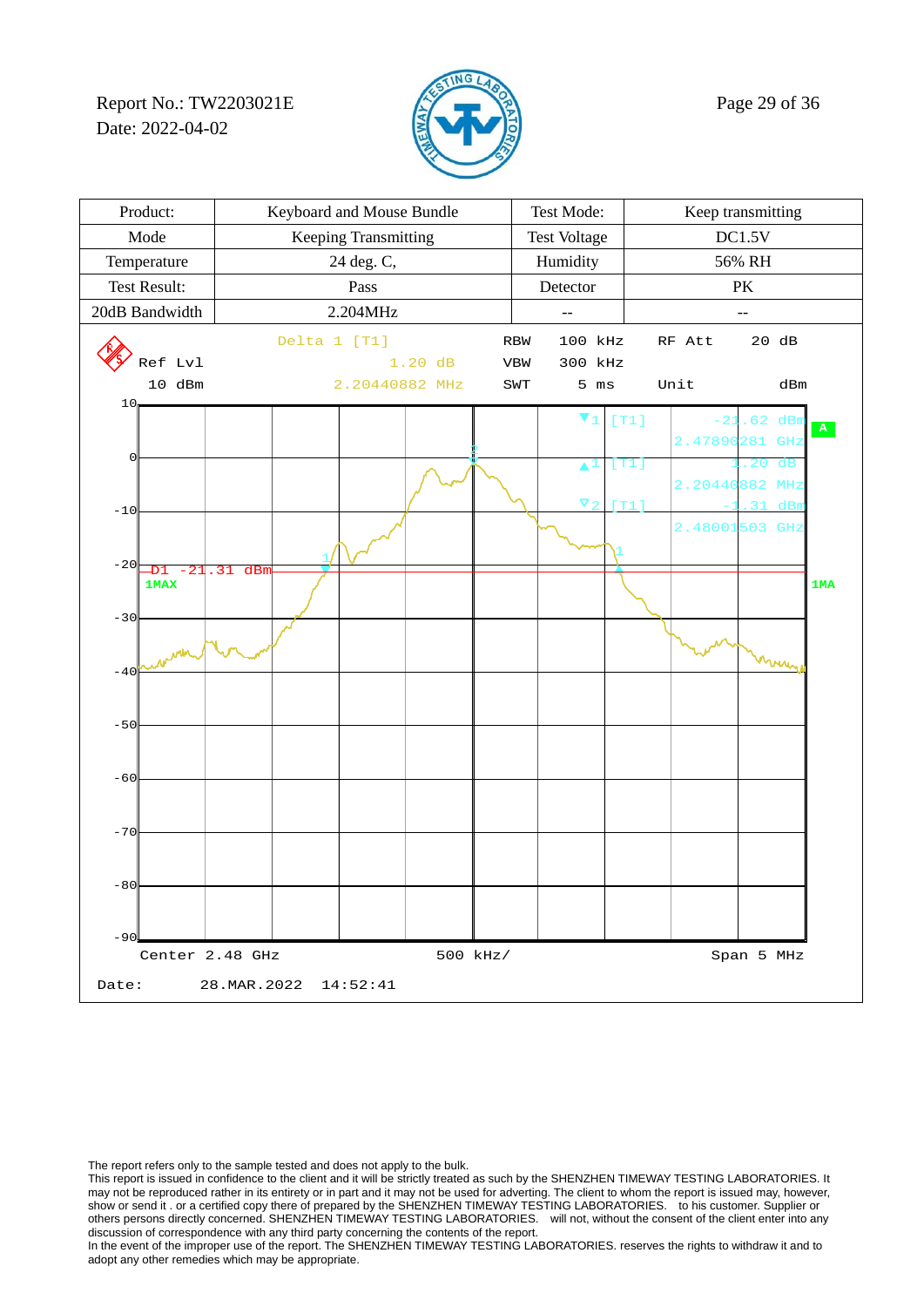Report No.: TW2203021E  $\mathbb{Z}$  Page 29 of 36 Date: 2022-04-02



| Product:                          | Keyboard and Mouse Bundle |                | Test Mode:          |                | Keep transmitting |      |            |                                                  |           |
|-----------------------------------|---------------------------|----------------|---------------------|----------------|-------------------|------|------------|--------------------------------------------------|-----------|
| Mode                              | Keeping Transmitting      |                | <b>Test Voltage</b> |                | DC1.5V            |      |            |                                                  |           |
| Temperature                       | 24 deg. C,                |                | Humidity            |                | 56% RH            |      |            |                                                  |           |
| <b>Test Result:</b>               |                           | Pass           |                     |                | Detector          |      | PK         |                                                  |           |
| 20dB Bandwidth                    | 2.204MHz                  |                | $-$                 |                | --                |      |            |                                                  |           |
|                                   | Delta 1 [T1]              |                |                     | <b>RBW</b>     | 100 kHz           |      | RF Att     | 20 dB                                            |           |
| Ref Lvl                           | $1.20$ dB                 |                |                     | <b>VBW</b>     | 300 kHz           |      |            |                                                  |           |
| 10 dBm<br>10                      |                           | 2.20440882 MHz |                     | $\texttt{SWT}$ | $5$ ms            |      | Unit       | dBm                                              |           |
|                                   |                           |                |                     |                | V                 | [T1] |            | 62<br>dBr                                        | ${\bf A}$ |
| 0                                 |                           |                |                     |                |                   |      | 2.47890    | 281<br>GHz                                       |           |
|                                   |                           |                |                     |                |                   | [T1] |            | 20<br>dB                                         |           |
|                                   |                           |                |                     |                | $\nabla \cdot$    | m1   | 2.20440    | 882<br>MH <sub>2</sub><br>$\overline{2}$ 1<br>dB |           |
| $-10$                             |                           |                |                     |                |                   |      | 2.48001503 | GHz                                              |           |
|                                   |                           |                |                     |                |                   |      |            |                                                  |           |
| $-20$<br>-D1<br>21<br><b>1MAX</b> | dBn<br>. 31               |                |                     |                |                   |      |            |                                                  | 1MA       |
|                                   |                           |                |                     |                |                   |      |            |                                                  |           |
| $-30$                             |                           |                |                     |                |                   |      |            |                                                  |           |
|                                   |                           |                |                     |                |                   |      |            | mmy                                              |           |
| $-40$                             |                           |                |                     |                |                   |      |            |                                                  |           |
|                                   |                           |                |                     |                |                   |      |            |                                                  |           |
| $-50$                             |                           |                |                     |                |                   |      |            |                                                  |           |
|                                   |                           |                |                     |                |                   |      |            |                                                  |           |
| $-60$                             |                           |                |                     |                |                   |      |            |                                                  |           |
|                                   |                           |                |                     |                |                   |      |            |                                                  |           |
| $-70$                             |                           |                |                     |                |                   |      |            |                                                  |           |
|                                   |                           |                |                     |                |                   |      |            |                                                  |           |
| $-80$                             |                           |                |                     |                |                   |      |            |                                                  |           |
|                                   |                           |                |                     |                |                   |      |            |                                                  |           |
| $-90$                             |                           |                |                     |                |                   |      |            |                                                  |           |
| Center 2.48 GHz                   |                           |                | 500 kHz/            |                |                   |      |            | Span 5 MHz                                       |           |
| Date:                             | 28.MAR.2022               | 14:52:41       |                     |                |                   |      |            |                                                  |           |

The report refers only to the sample tested and does not apply to the bulk.

This report is issued in confidence to the client and it will be strictly treated as such by the SHENZHEN TIMEWAY TESTING LABORATORIES. It may not be reproduced rather in its entirety or in part and it may not be used for adverting. The client to whom the report is issued may, however, show or send it . or a certified copy there of prepared by the SHENZHEN TIMEWAY TESTING LABORATORIES. to his customer. Supplier or others persons directly concerned. SHENZHEN TIMEWAY TESTING LABORATORIES. will not, without the consent of the client enter into any discussion of correspondence with any third party concerning the contents of the report.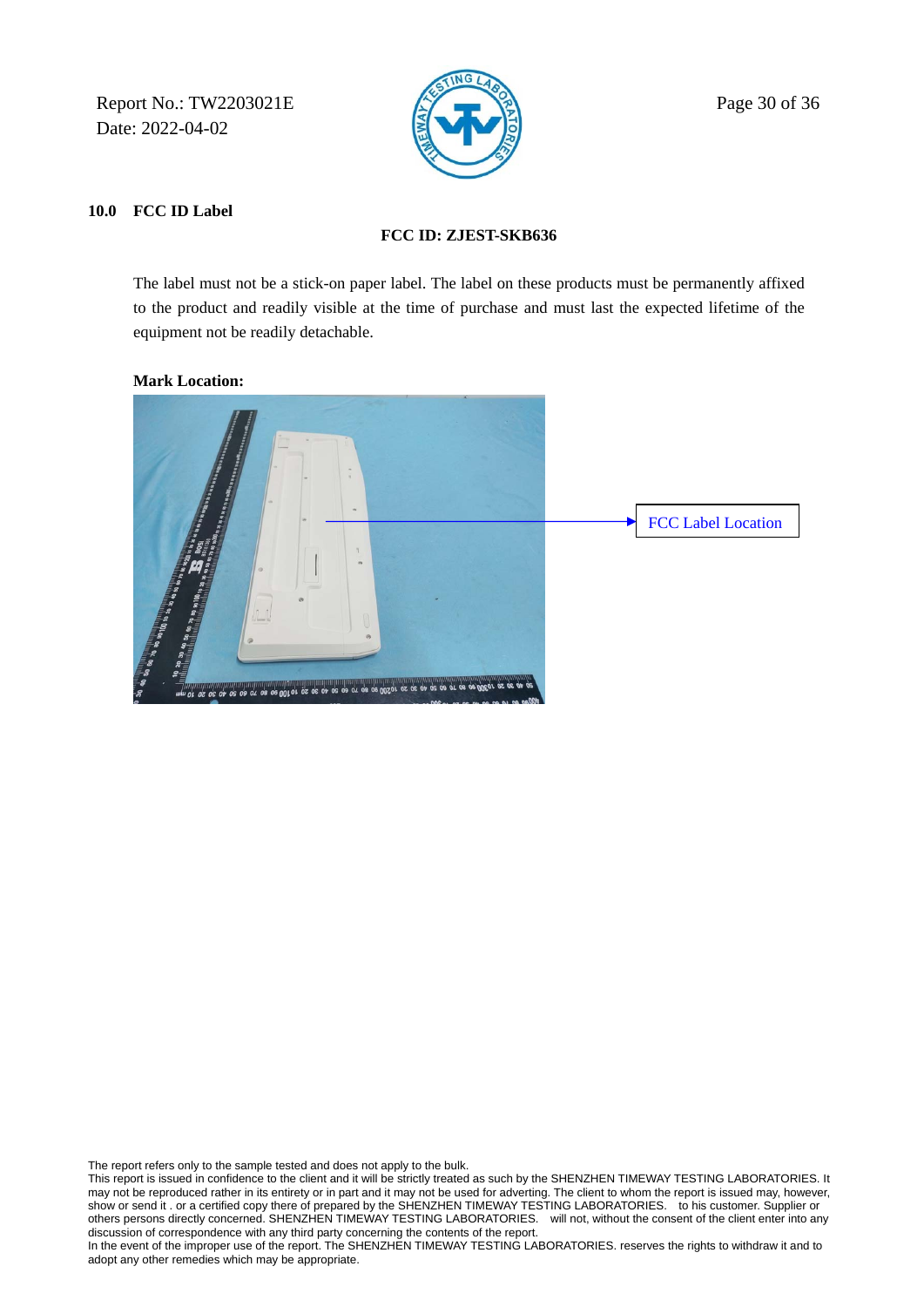Report No.: TW2203021E  $\sqrt{2}$  Page 30 of 36 Date: 2022-04-02



### **10.0 FCC ID Label**

### **FCC ID: ZJEST-SKB636**

 The label must not be a stick-on paper label. The label on these products must be permanently affixed to the product and readily visible at the time of purchase and must last the expected lifetime of the equipment not be readily detachable.

### **Mark Location:**



The report refers only to the sample tested and does not apply to the bulk.

This report is issued in confidence to the client and it will be strictly treated as such by the SHENZHEN TIMEWAY TESTING LABORATORIES. It may not be reproduced rather in its entirety or in part and it may not be used for adverting. The client to whom the report is issued may, however, show or send it . or a certified copy there of prepared by the SHENZHEN TIMEWAY TESTING LABORATORIES. to his customer. Supplier or others persons directly concerned. SHENZHEN TIMEWAY TESTING LABORATORIES. will not, without the consent of the client enter into any discussion of correspondence with any third party concerning the contents of the report.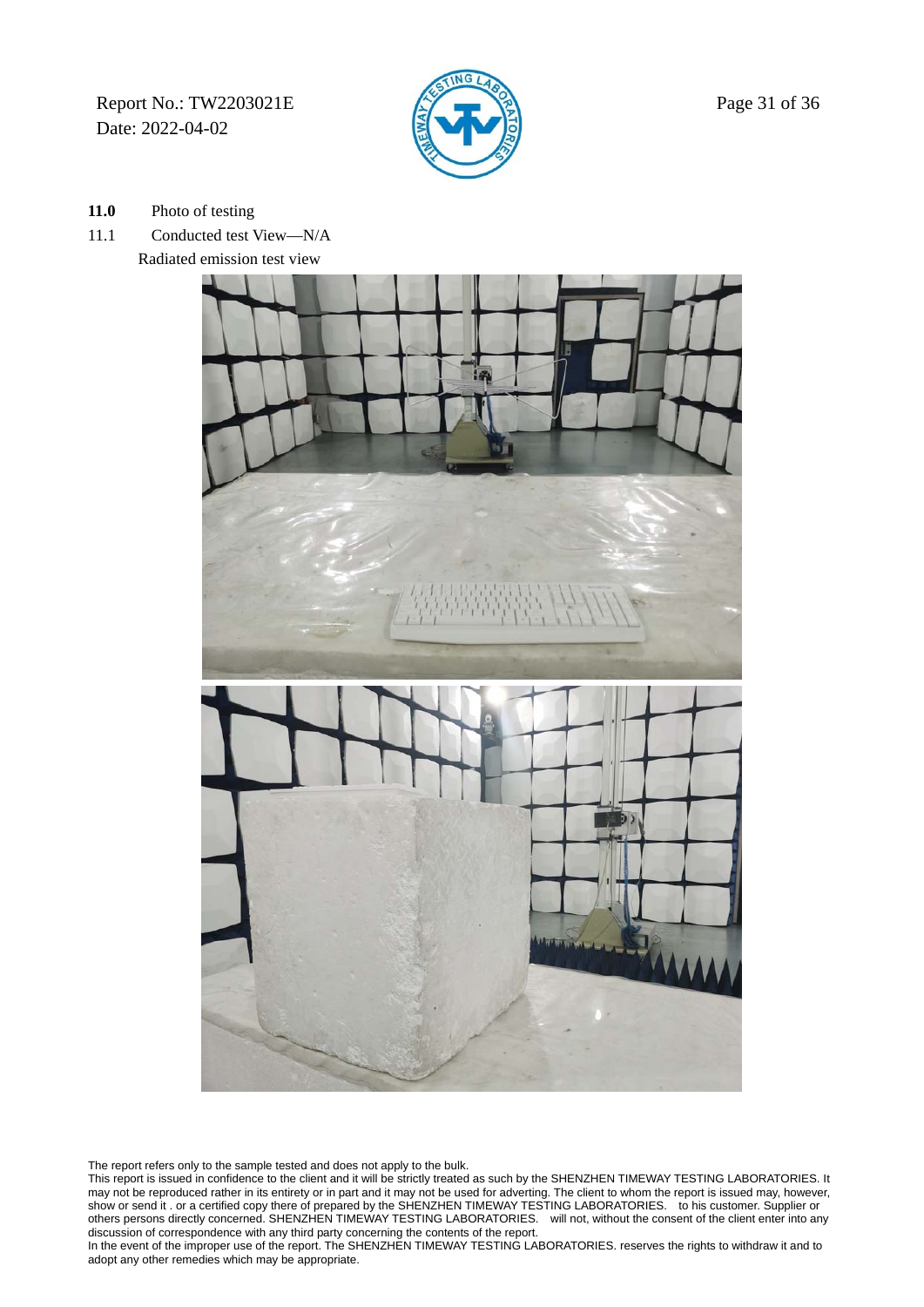Report No.: TW2203021E  $\mathbb{Z}$  Page 31 of 36 Date: 2022-04-02



- **11.0** Photo of testing
- 11.1 Conducted test View—N/A Radiated emission test view



The report refers only to the sample tested and does not apply to the bulk.

This report is issued in confidence to the client and it will be strictly treated as such by the SHENZHEN TIMEWAY TESTING LABORATORIES. It may not be reproduced rather in its entirety or in part and it may not be used for adverting. The client to whom the report is issued may, however, show or send it . or a certified copy there of prepared by the SHENZHEN TIMEWAY TESTING LABORATORIES. to his customer. Supplier or others persons directly concerned. SHENZHEN TIMEWAY TESTING LABORATORIES. will not, without the consent of the client enter into any discussion of correspondence with any third party concerning the contents of the report.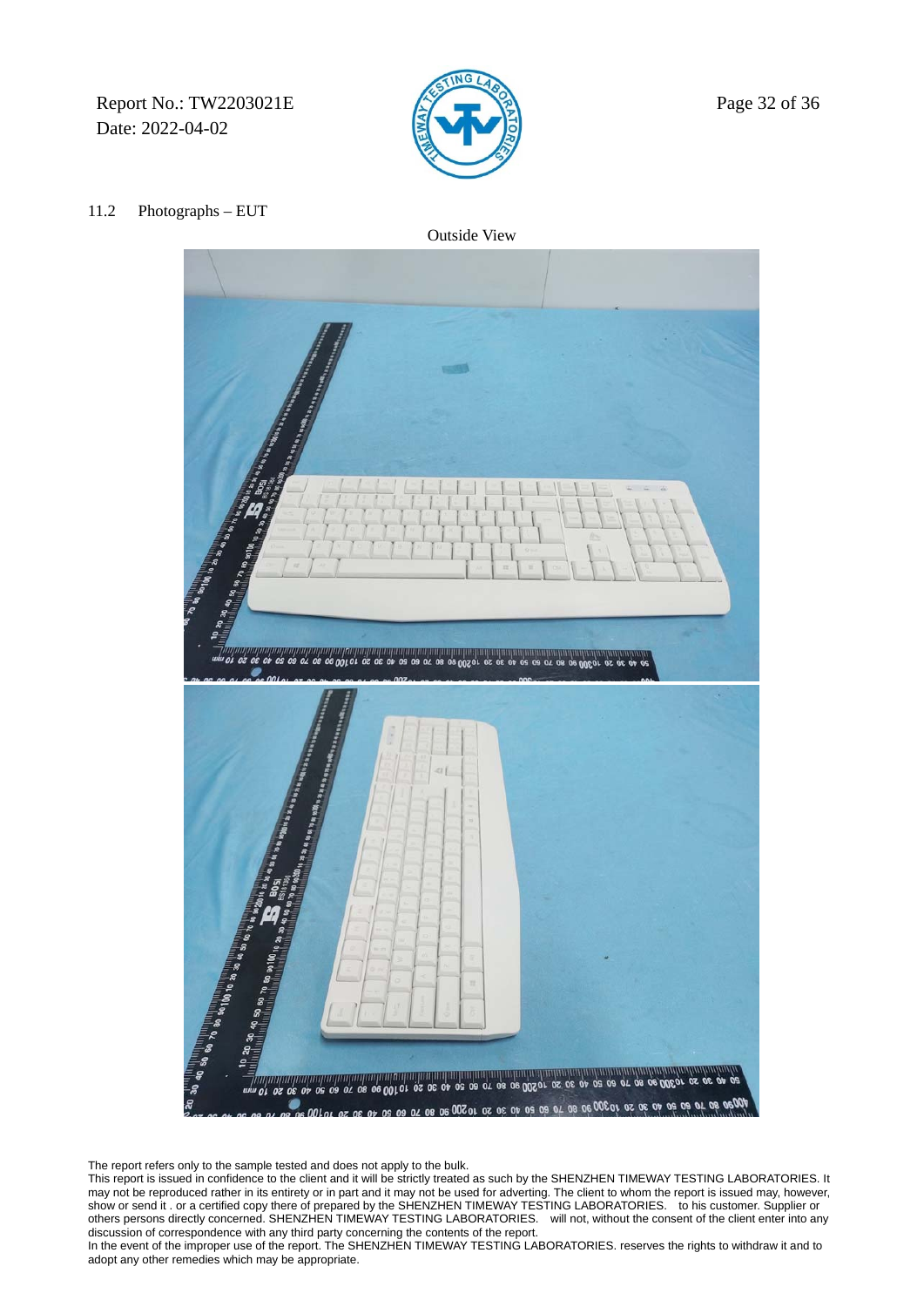Report No.: TW2203021E  $\sqrt{2}$  Page 32 of 36 Date: 2022-04-02



#### 11.2 Photographs – EUT

Outside View



The report refers only to the sample tested and does not apply to the bulk.

This report is issued in confidence to the client and it will be strictly treated as such by the SHENZHEN TIMEWAY TESTING LABORATORIES. It may not be reproduced rather in its entirety or in part and it may not be used for adverting. The client to whom the report is issued may, however, show or send it . or a certified copy there of prepared by the SHENZHEN TIMEWAY TESTING LABORATORIES. to his customer. Supplier or others persons directly concerned. SHENZHEN TIMEWAY TESTING LABORATORIES. will not, without the consent of the client enter into any discussion of correspondence with any third party concerning the contents of the report.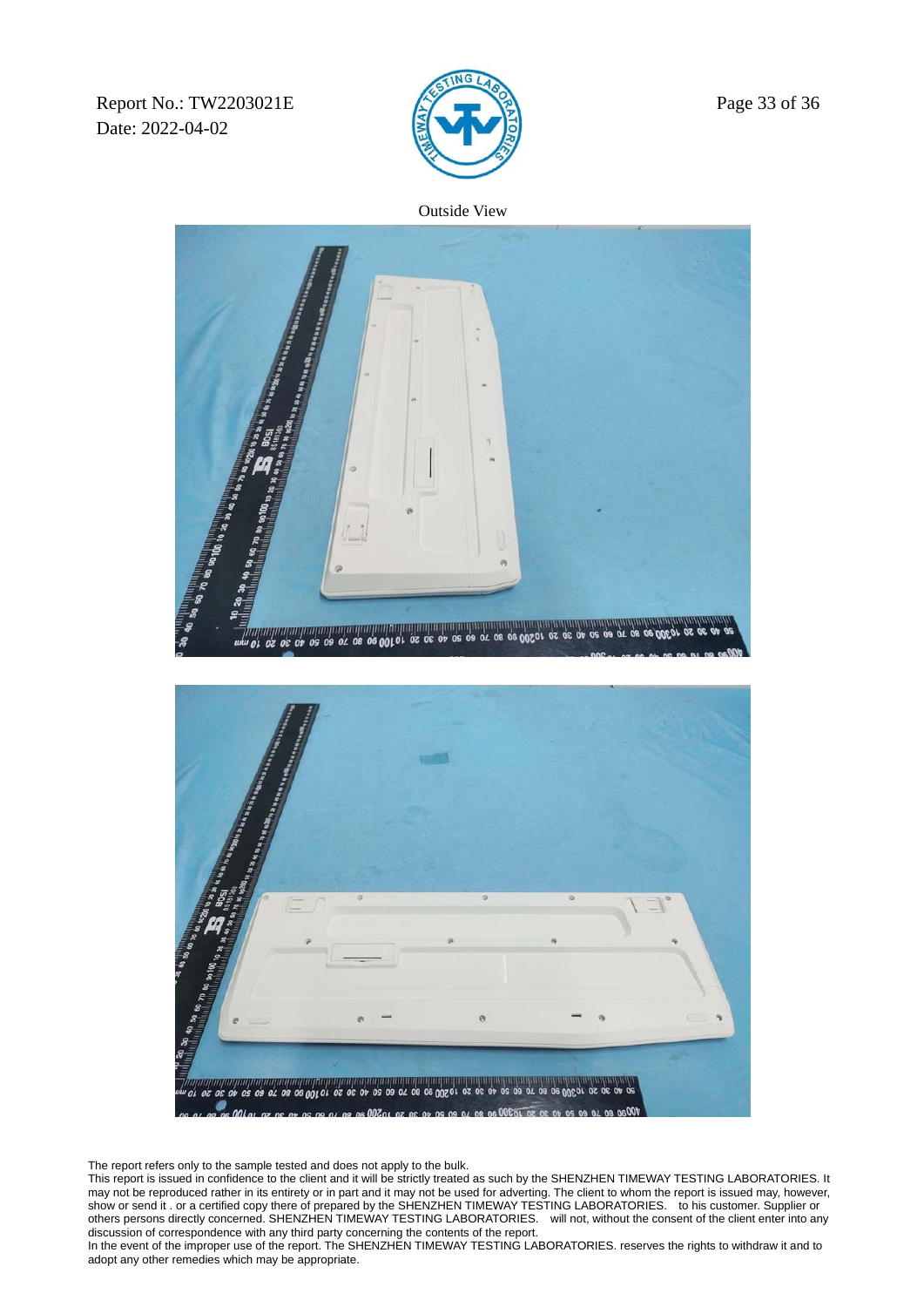Report No.: TW2203021E  $\mathbb{Z}$  Page 33 of 36 Date: 2022-04-02



Outside View



The report refers only to the sample tested and does not apply to the bulk.

This report is issued in confidence to the client and it will be strictly treated as such by the SHENZHEN TIMEWAY TESTING LABORATORIES. It may not be reproduced rather in its entirety or in part and it may not be used for adverting. The client to whom the report is issued may, however, show or send it . or a certified copy there of prepared by the SHENZHEN TIMEWAY TESTING LABORATORIES. to his customer. Supplier or others persons directly concerned. SHENZHEN TIMEWAY TESTING LABORATORIES. will not, without the consent of the client enter into any discussion of correspondence with any third party concerning the contents of the report.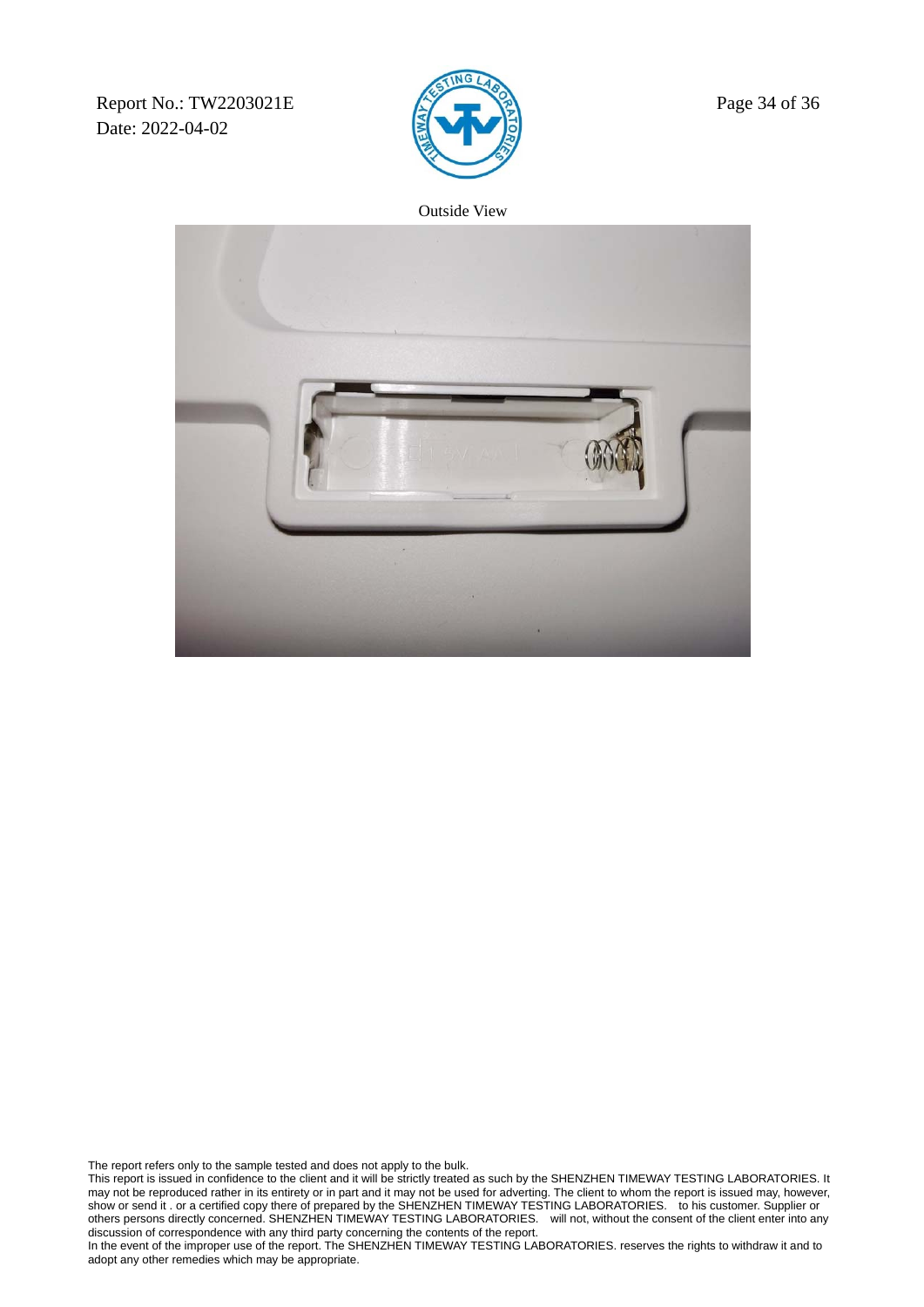Report No.: TW2203021E  $\sqrt{2}$  Page 34 of 36 Date: 2022-04-02



Outside View



The report refers only to the sample tested and does not apply to the bulk.

This report is issued in confidence to the client and it will be strictly treated as such by the SHENZHEN TIMEWAY TESTING LABORATORIES. It may not be reproduced rather in its entirety or in part and it may not be used for adverting. The client to whom the report is issued may, however, show or send it . or a certified copy there of prepared by the SHENZHEN TIMEWAY TESTING LABORATORIES. to his customer. Supplier or others persons directly concerned. SHENZHEN TIMEWAY TESTING LABORATORIES. will not, without the consent of the client enter into any discussion of correspondence with any third party concerning the contents of the report.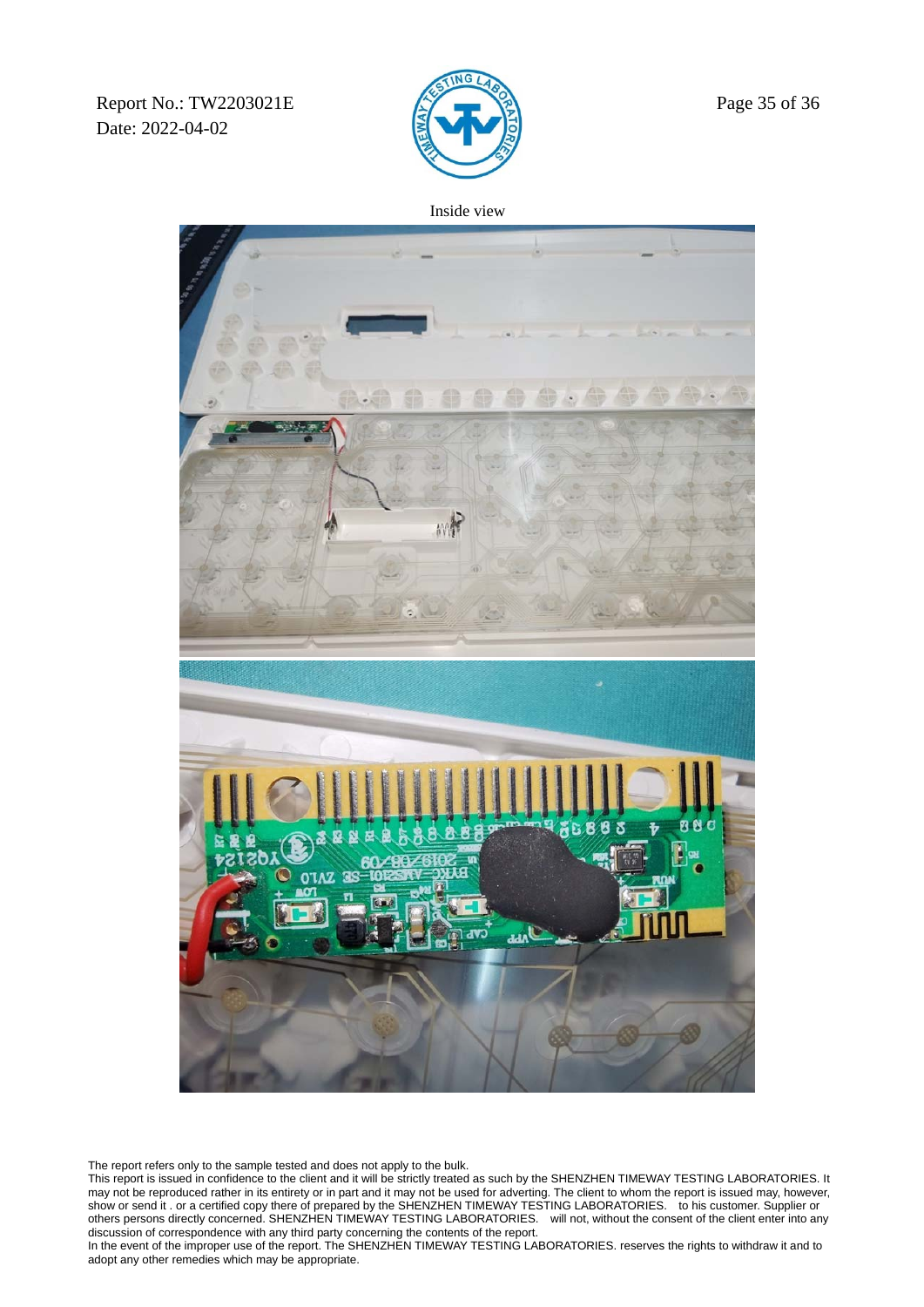Report No.: TW2203021E  $\sqrt{2}$  Page 35 of 36 Date: 2022-04-02



Inside view



The report refers only to the sample tested and does not apply to the bulk.

This report is issued in confidence to the client and it will be strictly treated as such by the SHENZHEN TIMEWAY TESTING LABORATORIES. It may not be reproduced rather in its entirety or in part and it may not be used for adverting. The client to whom the report is issued may, however, show or send it . or a certified copy there of prepared by the SHENZHEN TIMEWAY TESTING LABORATORIES. to his customer. Supplier or others persons directly concerned. SHENZHEN TIMEWAY TESTING LABORATORIES. will not, without the consent of the client enter into any discussion of correspondence with any third party concerning the contents of the report.